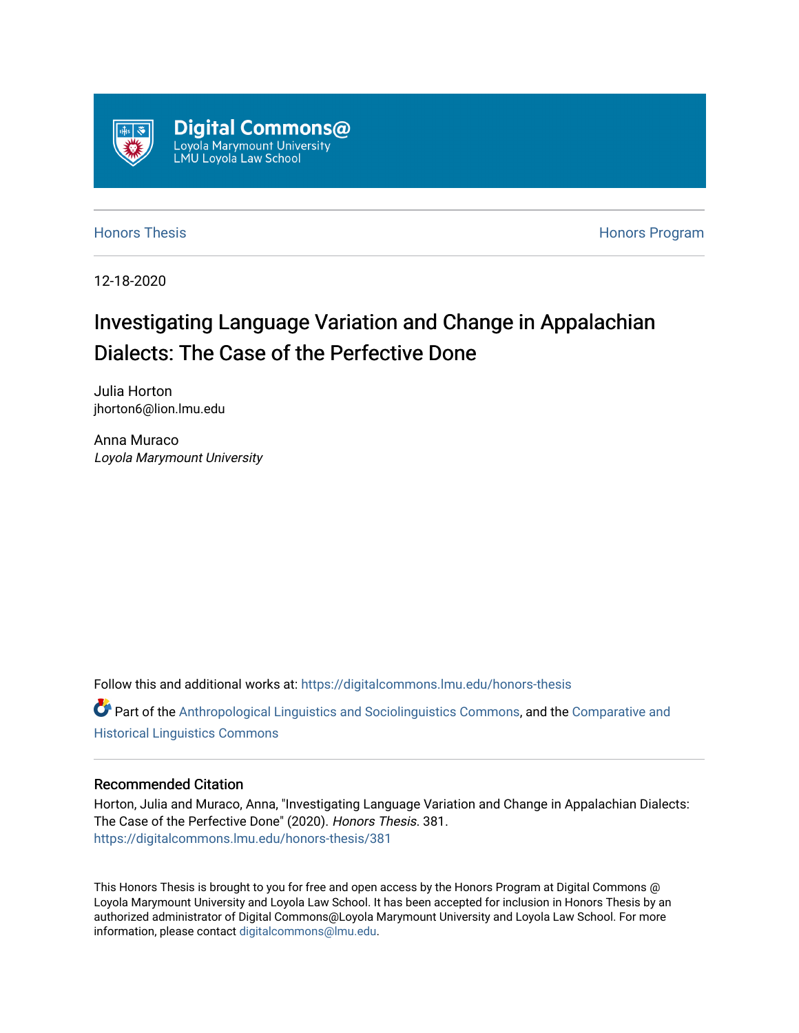

[Honors Thesis](https://digitalcommons.lmu.edu/honors-thesis) **Honors Honors** Program

12-18-2020

# Investigating Language Variation and Change in Appalachian Dialects: The Case of the Perfective Done

Julia Horton jhorton6@lion.lmu.edu

Anna Muraco Loyola Marymount University

Follow this and additional works at: [https://digitalcommons.lmu.edu/honors-thesis](https://digitalcommons.lmu.edu/honors-thesis?utm_source=digitalcommons.lmu.edu%2Fhonors-thesis%2F381&utm_medium=PDF&utm_campaign=PDFCoverPages)

 $\bullet$  Part of the [Anthropological Linguistics and Sociolinguistics Commons,](http://network.bepress.com/hgg/discipline/372?utm_source=digitalcommons.lmu.edu%2Fhonors-thesis%2F381&utm_medium=PDF&utm_campaign=PDFCoverPages) and the [Comparative and](http://network.bepress.com/hgg/discipline/374?utm_source=digitalcommons.lmu.edu%2Fhonors-thesis%2F381&utm_medium=PDF&utm_campaign=PDFCoverPages) [Historical Linguistics Commons](http://network.bepress.com/hgg/discipline/374?utm_source=digitalcommons.lmu.edu%2Fhonors-thesis%2F381&utm_medium=PDF&utm_campaign=PDFCoverPages) 

# Recommended Citation

Horton, Julia and Muraco, Anna, "Investigating Language Variation and Change in Appalachian Dialects: The Case of the Perfective Done" (2020). Honors Thesis. 381. [https://digitalcommons.lmu.edu/honors-thesis/381](https://digitalcommons.lmu.edu/honors-thesis/381?utm_source=digitalcommons.lmu.edu%2Fhonors-thesis%2F381&utm_medium=PDF&utm_campaign=PDFCoverPages) 

This Honors Thesis is brought to you for free and open access by the Honors Program at Digital Commons @ Loyola Marymount University and Loyola Law School. It has been accepted for inclusion in Honors Thesis by an authorized administrator of Digital Commons@Loyola Marymount University and Loyola Law School. For more information, please contact [digitalcommons@lmu.edu.](mailto:digitalcommons@lmu.edu)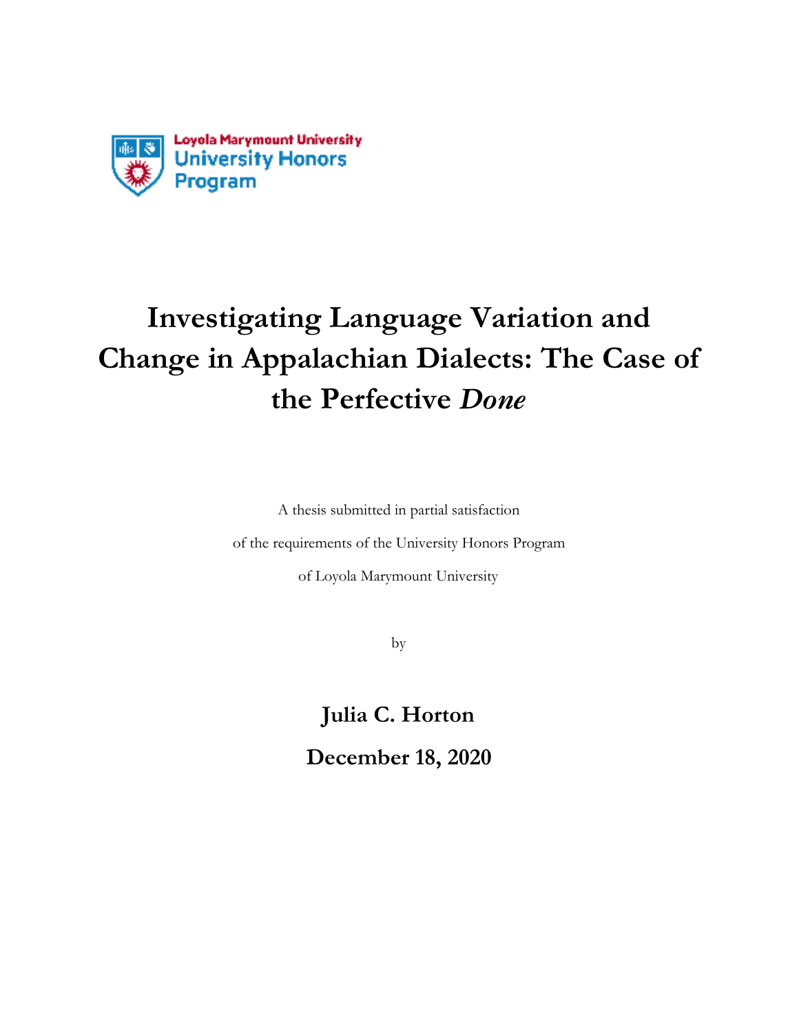

# **Investigating Language Variation and Change in Appalachian Dialects: The Case of the Perfective** *Done*

A thesis submitted in partial satisfaction

of the requirements of the University Honors Program

of Loyola Marymount University

by

**Julia C. Horton December 18, 2020**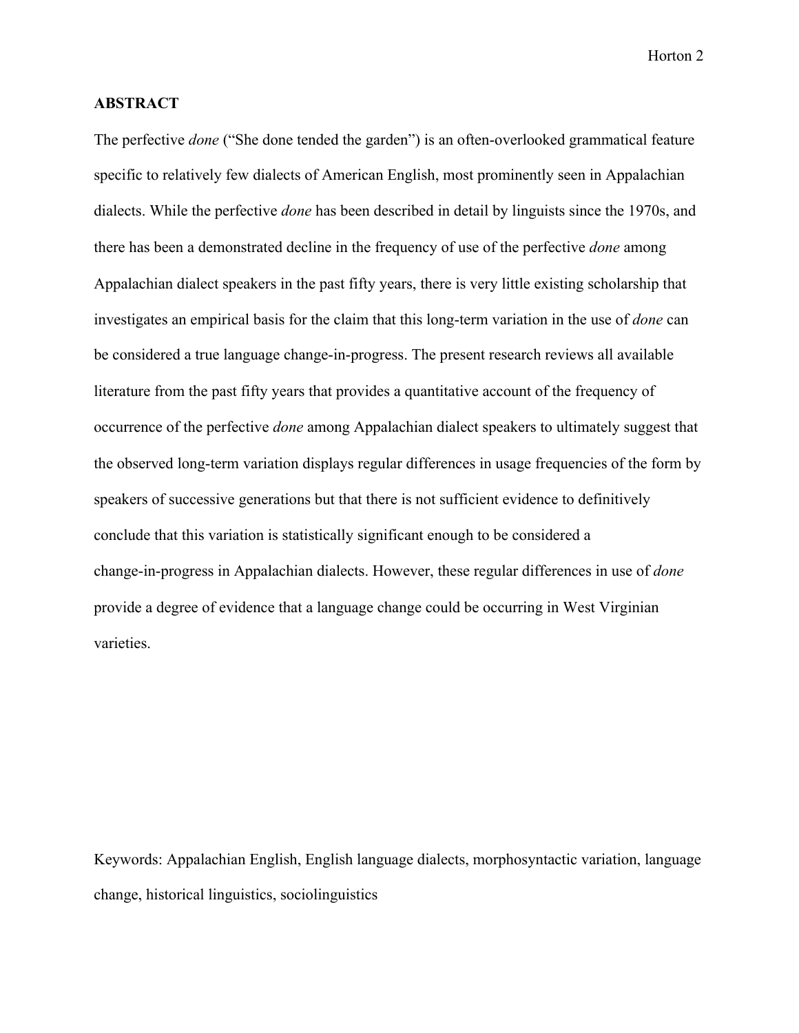# **ABSTRACT**

The perfective *done* ("She done tended the garden") is an often-overlooked grammatical feature specific to relatively few dialects of American English, most prominently seen in Appalachian dialects. While the perfective *done* has been described in detail by linguists since the 1970s, and there has been a demonstrated decline in the frequency of use of the perfective *done* among Appalachian dialect speakers in the past fifty years, there is very little existing scholarship that investigates an empirical basis for the claim that this long-term variation in the use of *done* can be considered a true language change-in-progress. The present research reviews all available literature from the past fifty years that provides a quantitative account of the frequency of occurrence of the perfective *done* among Appalachian dialect speakers to ultimately suggest that the observed long-term variation displays regular differences in usage frequencies of the form by speakers of successive generations but that there is not sufficient evidence to definitively conclude that this variation is statistically significant enough to be considered a change-in-progress in Appalachian dialects. However, these regular differences in use of *done* provide a degree of evidence that a language change could be occurring in West Virginian varieties.

Keywords: Appalachian English, English language dialects, morphosyntactic variation, language change, historical linguistics, sociolinguistics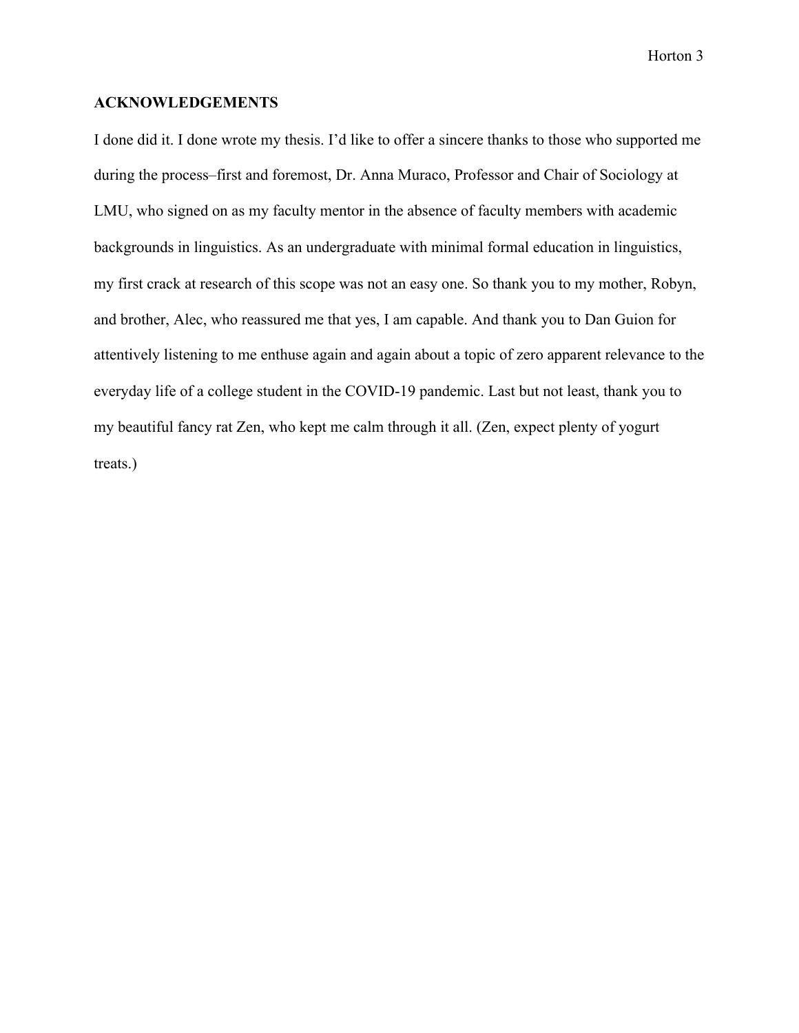# **ACKNOWLEDGEMENTS**

I done did it. I done wrote my thesis. I'd like to offer a sincere thanks to those who supported me during the process–first and foremost, Dr. Anna Muraco, Professor and Chair of Sociology at LMU, who signed on as my faculty mentor in the absence of faculty members with academic backgrounds in linguistics. As an undergraduate with minimal formal education in linguistics, my first crack at research of this scope was not an easy one. So thank you to my mother, Robyn, and brother, Alec, who reassured me that yes, I am capable. And thank you to Dan Guion for attentively listening to me enthuse again and again about a topic of zero apparent relevance to the everyday life of a college student in the COVID-19 pandemic. Last but not least, thank you to my beautiful fancy rat Zen, who kept me calm through it all. (Zen, expect plenty of yogurt treats.)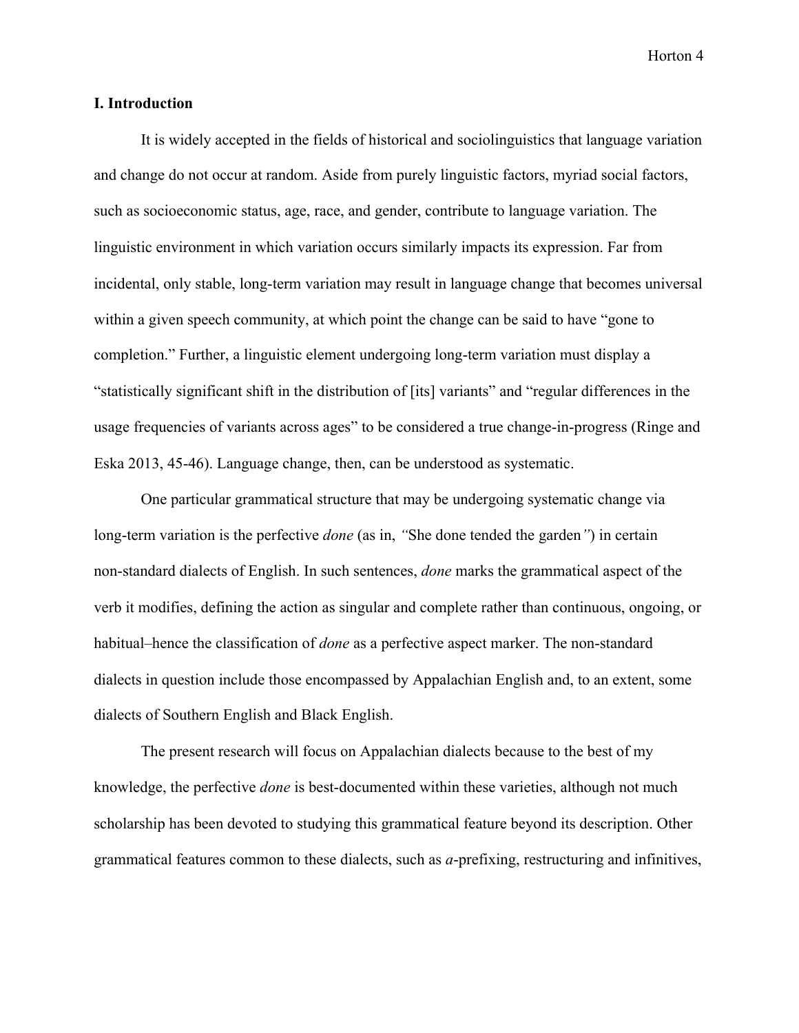#### **I. Introduction**

It is widely accepted in the fields of historical and sociolinguistics that language variation and change do not occur at random. Aside from purely linguistic factors, myriad social factors, such as socioeconomic status, age, race, and gender, contribute to language variation. The linguistic environment in which variation occurs similarly impacts its expression. Far from incidental, only stable, long-term variation may result in language change that becomes universal within a given speech community, at which point the change can be said to have "gone to completion." Further, a linguistic element undergoing long-term variation must display a "statistically significant shift in the distribution of [its] variants" and "regular differences in the usage frequencies of variants across ages" to be considered a true change-in-progress (Ringe and Eska 2013, 45-46). Language change, then, can be understood as systematic.

One particular grammatical structure that may be undergoing systematic change via long-term variation is the perfective *done* (as in, *"*She done tended the garden*"*) in certain non-standard dialects of English. In such sentences, *done* marks the grammatical aspect of the verb it modifies, defining the action as singular and complete rather than continuous, ongoing, or habitual–hence the classification of *done* as a perfective aspect marker. The non-standard dialects in question include those encompassed by Appalachian English and, to an extent, some dialects of Southern English and Black English.

The present research will focus on Appalachian dialects because to the best of my knowledge, the perfective *done* is best-documented within these varieties, although not much scholarship has been devoted to studying this grammatical feature beyond its description. Other grammatical features common to these dialects, such as *a*-prefixing, restructuring and infinitives,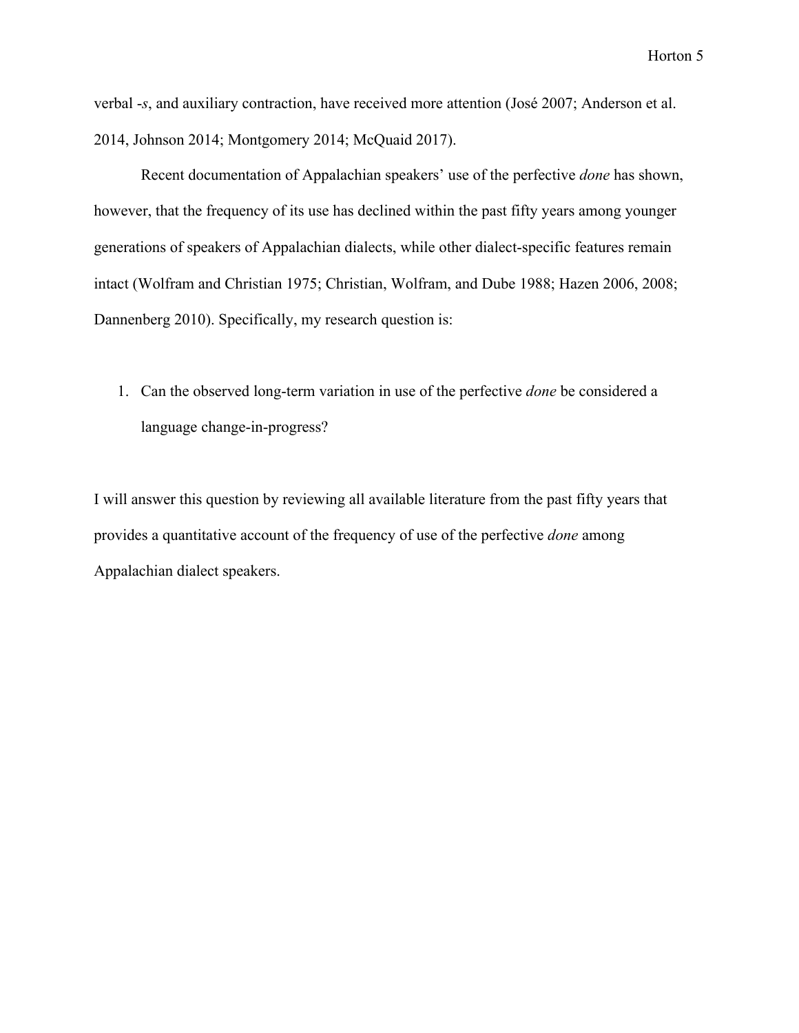verbal -*s*, and auxiliary contraction, have received more attention (José 2007; Anderson et al. 2014, Johnson 2014; Montgomery 2014; McQuaid 2017).

Recent documentation of Appalachian speakers' use of the perfective *done* has shown, however, that the frequency of its use has declined within the past fifty years among younger generations of speakers of Appalachian dialects, while other dialect-specific features remain intact (Wolfram and Christian 1975; Christian, Wolfram, and Dube 1988; Hazen 2006, 2008; Dannenberg 2010). Specifically, my research question is:

1. Can the observed long-term variation in use of the perfective *done* be considered a language change-in-progress?

I will answer this question by reviewing all available literature from the past fifty years that provides a quantitative account of the frequency of use of the perfective *done* among Appalachian dialect speakers.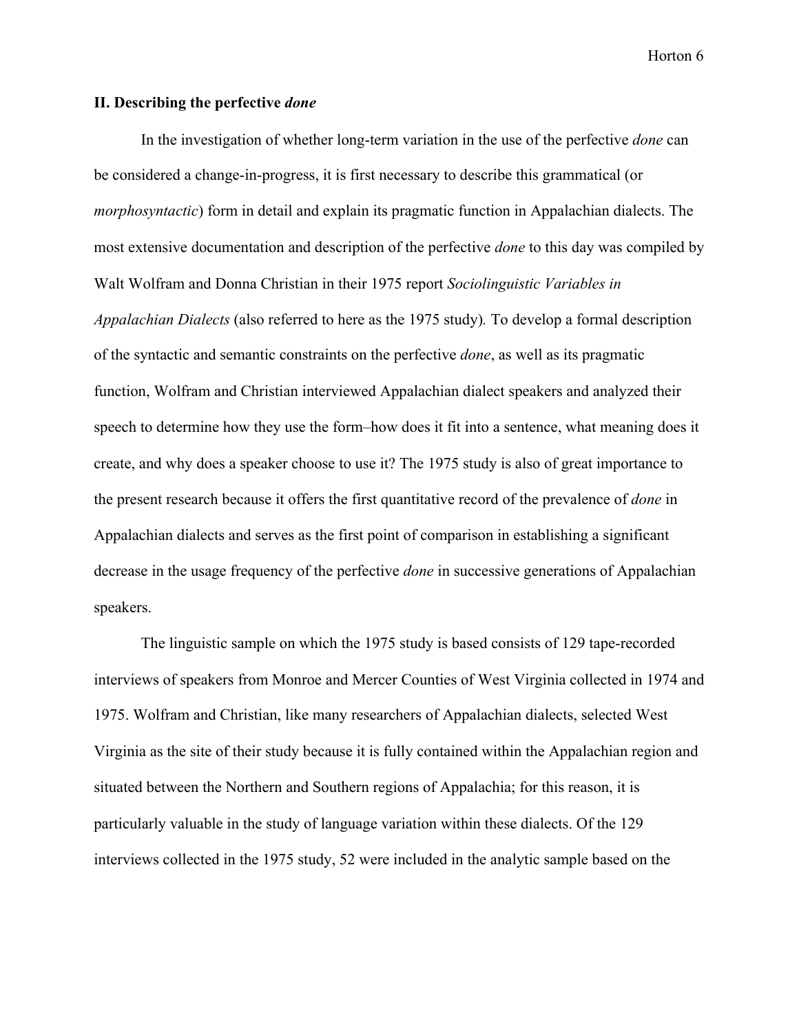#### **II. Describing the perfective** *done*

In the investigation of whether long-term variation in the use of the perfective *done* can be considered a change-in-progress, it is first necessary to describe this grammatical (or *morphosyntactic*) form in detail and explain its pragmatic function in Appalachian dialects. The most extensive documentation and description of the perfective *done* to this day was compiled by Walt Wolfram and Donna Christian in their 1975 report *Sociolinguistic Variables in Appalachian Dialects* (also referred to here as the 1975 study)*.* To develop a formal description of the syntactic and semantic constraints on the perfective *done*, as well as its pragmatic function, Wolfram and Christian interviewed Appalachian dialect speakers and analyzed their speech to determine how they use the form–how does it fit into a sentence, what meaning does it create, and why does a speaker choose to use it? The 1975 study is also of great importance to the present research because it offers the first quantitative record of the prevalence of *done* in Appalachian dialects and serves as the first point of comparison in establishing a significant decrease in the usage frequency of the perfective *done* in successive generations of Appalachian speakers.

The linguistic sample on which the 1975 study is based consists of 129 tape-recorded interviews of speakers from Monroe and Mercer Counties of West Virginia collected in 1974 and 1975. Wolfram and Christian, like many researchers of Appalachian dialects, selected West Virginia as the site of their study because it is fully contained within the Appalachian region and situated between the Northern and Southern regions of Appalachia; for this reason, it is particularly valuable in the study of language variation within these dialects. Of the 129 interviews collected in the 1975 study, 52 were included in the analytic sample based on the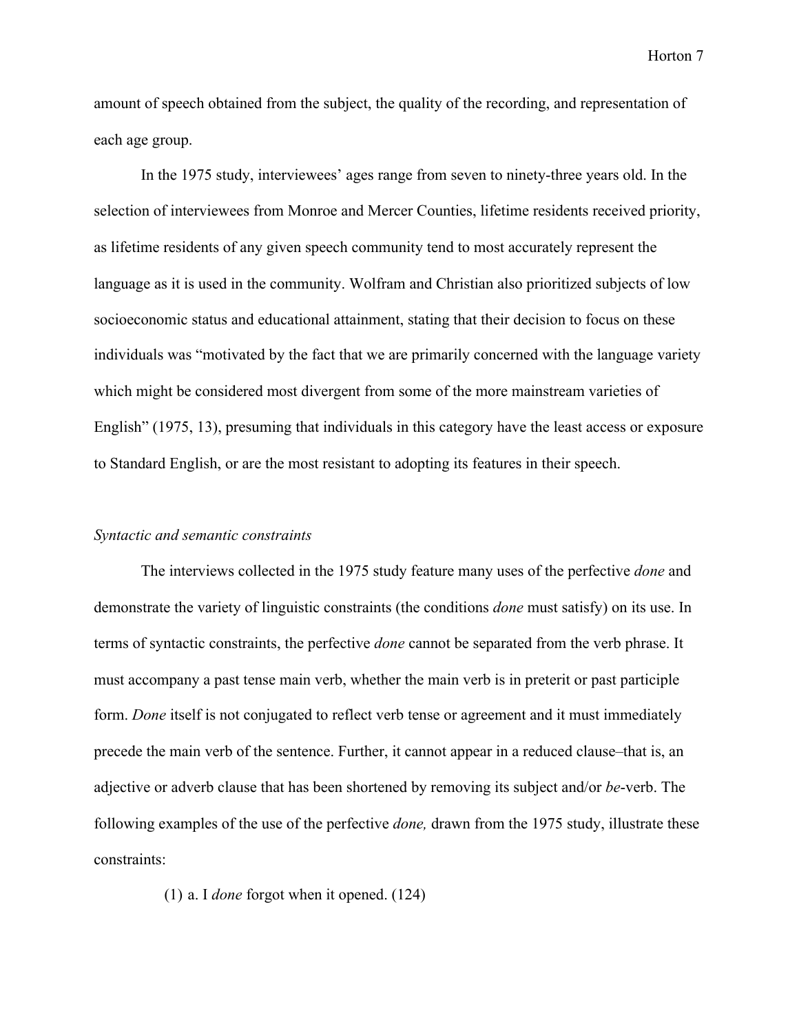amount of speech obtained from the subject, the quality of the recording, and representation of each age group.

In the 1975 study, interviewees' ages range from seven to ninety-three years old. In the selection of interviewees from Monroe and Mercer Counties, lifetime residents received priority, as lifetime residents of any given speech community tend to most accurately represent the language as it is used in the community. Wolfram and Christian also prioritized subjects of low socioeconomic status and educational attainment, stating that their decision to focus on these individuals was "motivated by the fact that we are primarily concerned with the language variety which might be considered most divergent from some of the more mainstream varieties of English" (1975, 13), presuming that individuals in this category have the least access or exposure to Standard English, or are the most resistant to adopting its features in their speech.

#### *Syntactic and semantic constraints*

The interviews collected in the 1975 study feature many uses of the perfective *done* and demonstrate the variety of linguistic constraints (the conditions *done* must satisfy) on its use. In terms of syntactic constraints, the perfective *done* cannot be separated from the verb phrase. It must accompany a past tense main verb, whether the main verb is in preterit or past participle form. *Done* itself is not conjugated to reflect verb tense or agreement and it must immediately precede the main verb of the sentence. Further, it cannot appear in a reduced clause–that is, an adjective or adverb clause that has been shortened by removing its subject and/or *be*-verb. The following examples of the use of the perfective *done,* drawn from the 1975 study, illustrate these constraints:

(1) a. I *done* forgot when it opened. (124)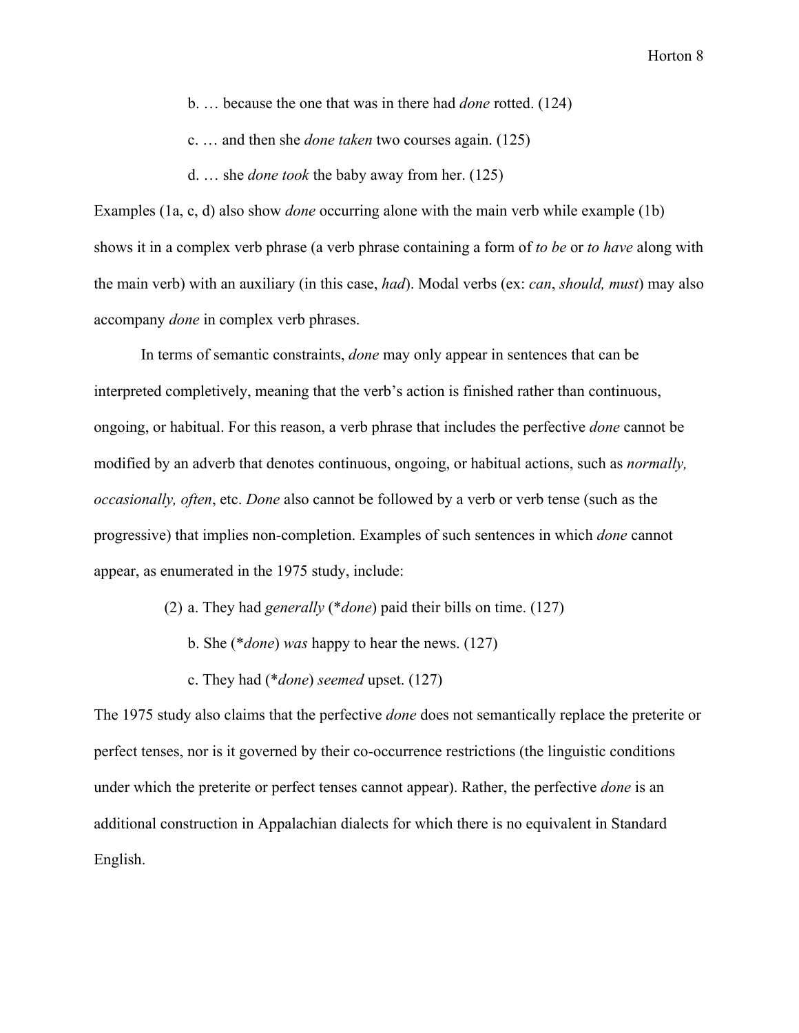- b. … because the one that was in there had *done* rotted. (124)
- c. … and then she *done taken* two courses again. (125)
- d. … she *done took* the baby away from her. (125)

Examples (1a, c, d) also show *done* occurring alone with the main verb while example (1b) shows it in a complex verb phrase (a verb phrase containing a form of *to be* or *to have* along with the main verb) with an auxiliary (in this case, *had*). Modal verbs (ex: *can*, *should, must*) may also accompany *done* in complex verb phrases.

In terms of semantic constraints, *done* may only appear in sentences that can be interpreted completively, meaning that the verb's action is finished rather than continuous, ongoing, or habitual. For this reason, a verb phrase that includes the perfective *done* cannot be modified by an adverb that denotes continuous, ongoing, or habitual actions, such as *normally, occasionally, often*, etc. *Done* also cannot be followed by a verb or verb tense (such as the progressive) that implies non-completion. Examples of such sentences in which *done* cannot appear, as enumerated in the 1975 study, include:

- (2) a. They had *generally* (\**done*) paid their bills on time. (127)
	- b. She (\**done*) *was* happy to hear the news. (127)
	- c. They had (\**done*) *seemed* upset. (127)

The 1975 study also claims that the perfective *done* does not semantically replace the preterite or perfect tenses, nor is it governed by their co-occurrence restrictions (the linguistic conditions under which the preterite or perfect tenses cannot appear). Rather, the perfective *done* is an additional construction in Appalachian dialects for which there is no equivalent in Standard English.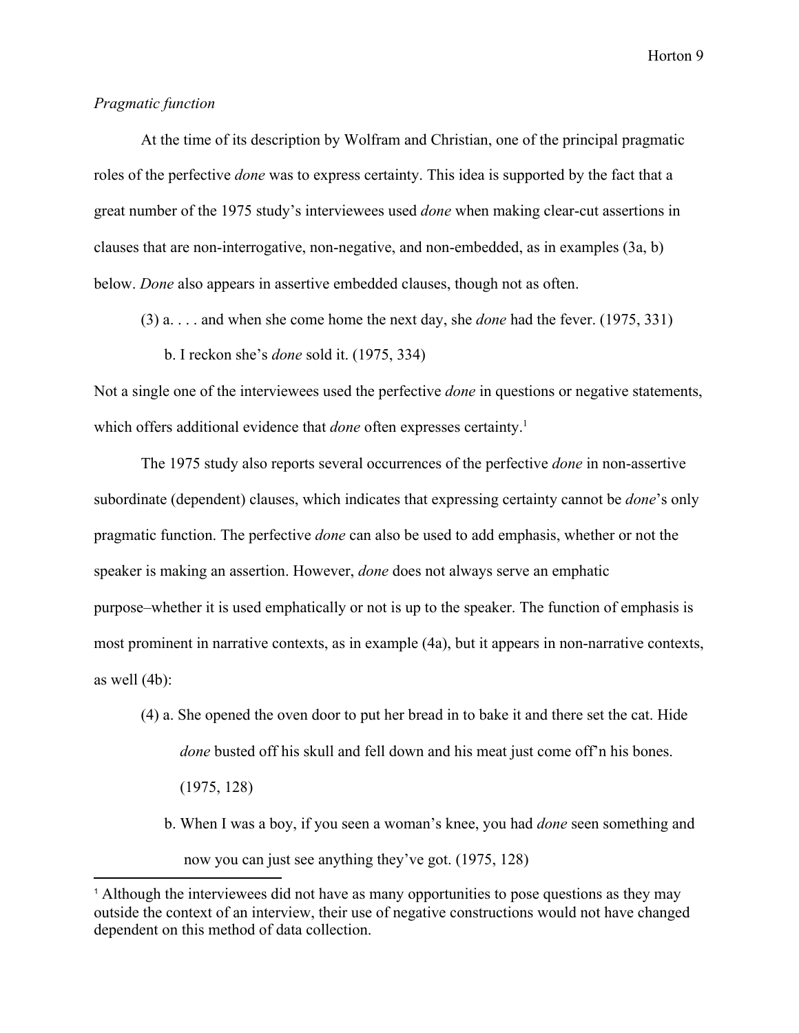# *Pragmatic function*

At the time of its description by Wolfram and Christian, one of the principal pragmatic roles of the perfective *done* was to express certainty. This idea is supported by the fact that a great number of the 1975 study's interviewees used *done* when making clear-cut assertions in clauses that are non-interrogative, non-negative, and non-embedded, as in examples (3a, b) below. *Done* also appears in assertive embedded clauses, though not as often.

- (3) a. . . . and when she come home the next day, she *done* had the fever. (1975, 331)
	- b. I reckon she's *done* sold it. (1975, 334)

Not a single one of the interviewees used the perfective *done* in questions or negative statements, which offers additional evidence that *done* often expresses certainty.<sup>1</sup>

The 1975 study also reports several occurrences of the perfective *done* in non-assertive subordinate (dependent) clauses, which indicates that expressing certainty cannot be *done*'s only pragmatic function. The perfective *done* can also be used to add emphasis, whether or not the speaker is making an assertion. However, *done* does not always serve an emphatic purpose–whether it is used emphatically or not is up to the speaker. The function of emphasis is most prominent in narrative contexts, as in example (4a), but it appears in non-narrative contexts, as well (4b):

- (4) a. She opened the oven door to put her bread in to bake it and there set the cat. Hide *done* busted off his skull and fell down and his meat just come off'n his bones. (1975, 128)
	- b. When I was a boy, if you seen a woman's knee, you had *done* seen something and now you can just see anything they've got. (1975, 128)

<sup>1</sup> Although the interviewees did not have as many opportunities to pose questions as they may outside the context of an interview, their use of negative constructions would not have changed dependent on this method of data collection.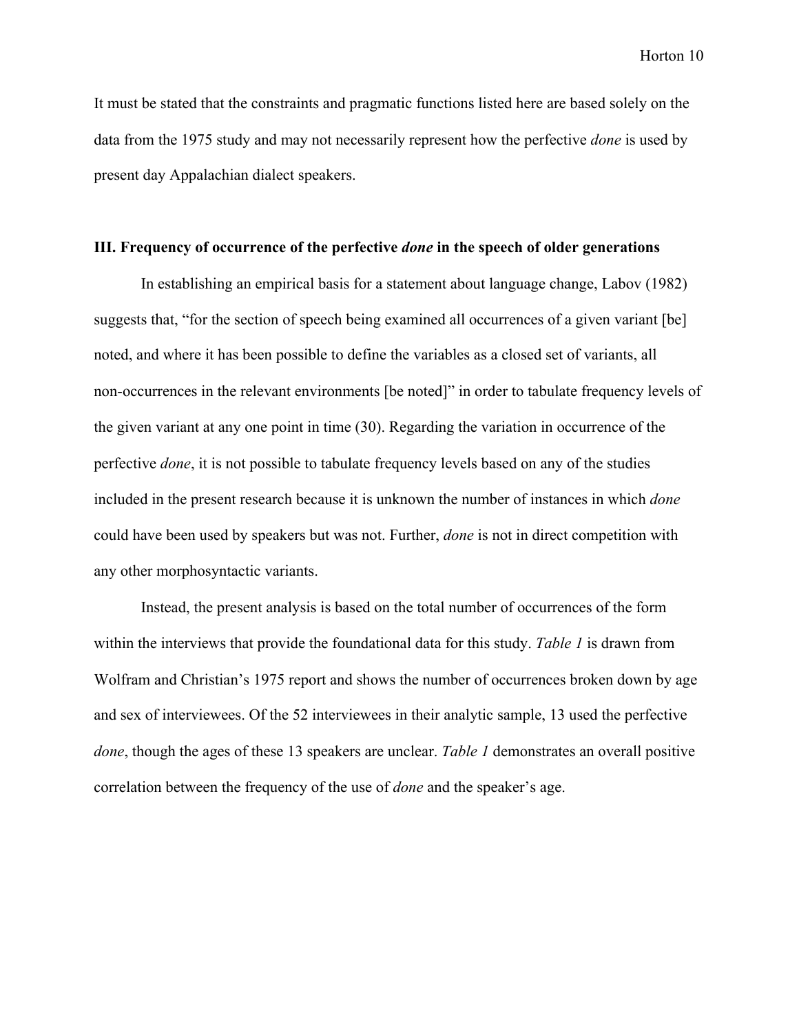It must be stated that the constraints and pragmatic functions listed here are based solely on the data from the 1975 study and may not necessarily represent how the perfective *done* is used by present day Appalachian dialect speakers.

#### **III. Frequency of occurrence of the perfective** *done* **in the speech of older generations**

In establishing an empirical basis for a statement about language change, Labov (1982) suggests that, "for the section of speech being examined all occurrences of a given variant [be] noted, and where it has been possible to define the variables as a closed set of variants, all non-occurrences in the relevant environments [be noted]" in order to tabulate frequency levels of the given variant at any one point in time (30). Regarding the variation in occurrence of the perfective *done*, it is not possible to tabulate frequency levels based on any of the studies included in the present research because it is unknown the number of instances in which *done* could have been used by speakers but was not. Further, *done* is not in direct competition with any other morphosyntactic variants.

Instead, the present analysis is based on the total number of occurrences of the form within the interviews that provide the foundational data for this study. *Table 1* is drawn from Wolfram and Christian's 1975 report and shows the number of occurrences broken down by age and sex of interviewees. Of the 52 interviewees in their analytic sample, 13 used the perfective *done*, though the ages of these 13 speakers are unclear. *Table 1* demonstrates an overall positive correlation between the frequency of the use of *done* and the speaker's age.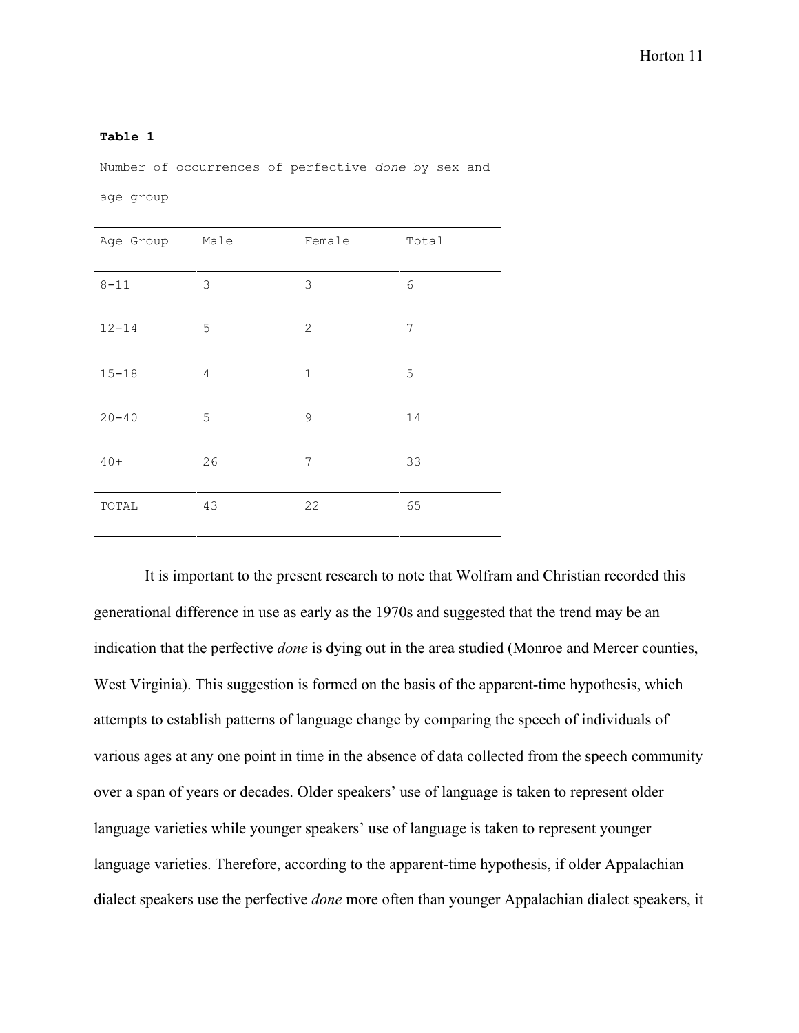#### **Table 1**

Number of occurrences of perfective *done* by sex and

age group

| Age Group Male |             | Female         | Total      |
|----------------|-------------|----------------|------------|
| $8 - 11$       | $\mathsf 3$ | $\mathfrak{Z}$ | $\epsilon$ |
| $12 - 14$      | 5           | 2              | 7          |
| $15 - 18$      | $\sqrt{4}$  | $1\,$          | 5          |
| $20 - 40$      | 5           | 9              | 14         |
| $40+$          | 26          | 7              | 33         |
| TOTAL          | 43          | 22             | 65         |

 It is important to the present research to note that Wolfram and Christian recorded this generational difference in use as early as the 1970s and suggested that the trend may be an indication that the perfective *done* is dying out in the area studied (Monroe and Mercer counties, West Virginia). This suggestion is formed on the basis of the apparent-time hypothesis, which attempts to establish patterns of language change by comparing the speech of individuals of various ages at any one point in time in the absence of data collected from the speech community over a span of years or decades. Older speakers' use of language is taken to represent older language varieties while younger speakers' use of language is taken to represent younger language varieties. Therefore, according to the apparent-time hypothesis, if older Appalachian dialect speakers use the perfective *done* more often than younger Appalachian dialect speakers, it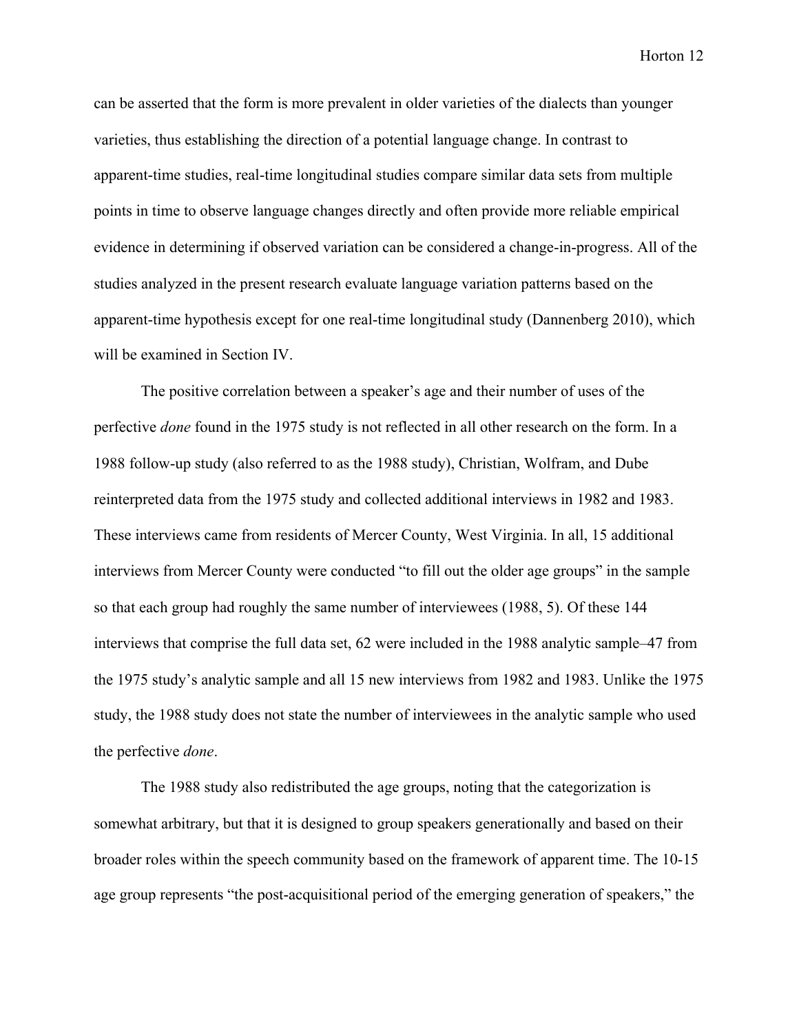can be asserted that the form is more prevalent in older varieties of the dialects than younger varieties, thus establishing the direction of a potential language change. In contrast to apparent-time studies, real-time longitudinal studies compare similar data sets from multiple points in time to observe language changes directly and often provide more reliable empirical evidence in determining if observed variation can be considered a change-in-progress. All of the studies analyzed in the present research evaluate language variation patterns based on the apparent-time hypothesis except for one real-time longitudinal study (Dannenberg 2010), which will be examined in Section IV.

The positive correlation between a speaker's age and their number of uses of the perfective *done* found in the 1975 study is not reflected in all other research on the form. In a 1988 follow-up study (also referred to as the 1988 study), Christian, Wolfram, and Dube reinterpreted data from the 1975 study and collected additional interviews in 1982 and 1983. These interviews came from residents of Mercer County, West Virginia. In all, 15 additional interviews from Mercer County were conducted "to fill out the older age groups" in the sample so that each group had roughly the same number of interviewees (1988, 5). Of these 144 interviews that comprise the full data set, 62 were included in the 1988 analytic sample–47 from the 1975 study's analytic sample and all 15 new interviews from 1982 and 1983. Unlike the 1975 study, the 1988 study does not state the number of interviewees in the analytic sample who used the perfective *done*.

The 1988 study also redistributed the age groups, noting that the categorization is somewhat arbitrary, but that it is designed to group speakers generationally and based on their broader roles within the speech community based on the framework of apparent time. The 10-15 age group represents "the post-acquisitional period of the emerging generation of speakers," the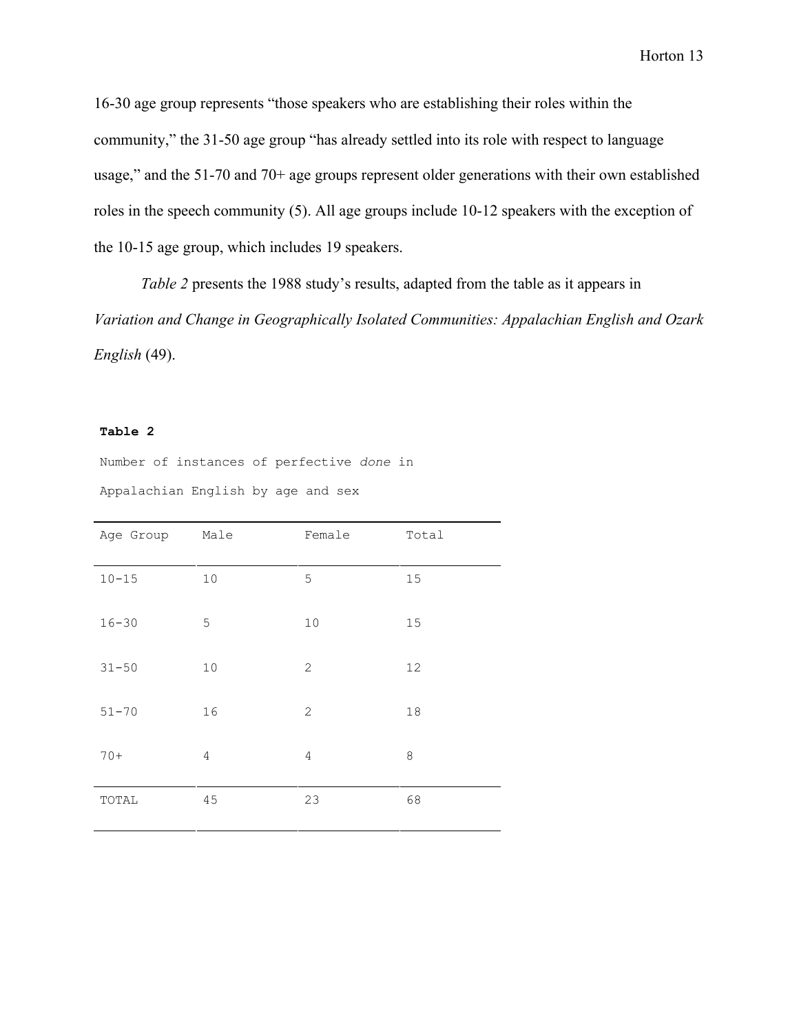16-30 age group represents "those speakers who are establishing their roles within the community," the 31-50 age group "has already settled into its role with respect to language usage," and the 51-70 and 70+ age groups represent older generations with their own established roles in the speech community (5). All age groups include 10-12 speakers with the exception of the 10-15 age group, which includes 19 speakers.

*Table 2* presents the 1988 study's results, adapted from the table as it appears in *Variation and Change in Geographically Isolated Communities: Appalachian English and Ozark English* (49).

#### **Table 2**

Number of instances of perfective *done* in Appalachian English by age and sex

| Age Group | Male           | Female       | Total   |
|-----------|----------------|--------------|---------|
| $10 - 15$ | 10             | 5            | 15      |
| $16 - 30$ | 5              | 10           | 15      |
| $31 - 50$ | $10$           | $\mathbf{2}$ | 12      |
| $51 - 70$ | 16             | $\mathbf{2}$ | 18      |
| $70+$     | $\overline{4}$ | 4            | $\,8\,$ |
| TOTAL     | 45             | 23           | 68      |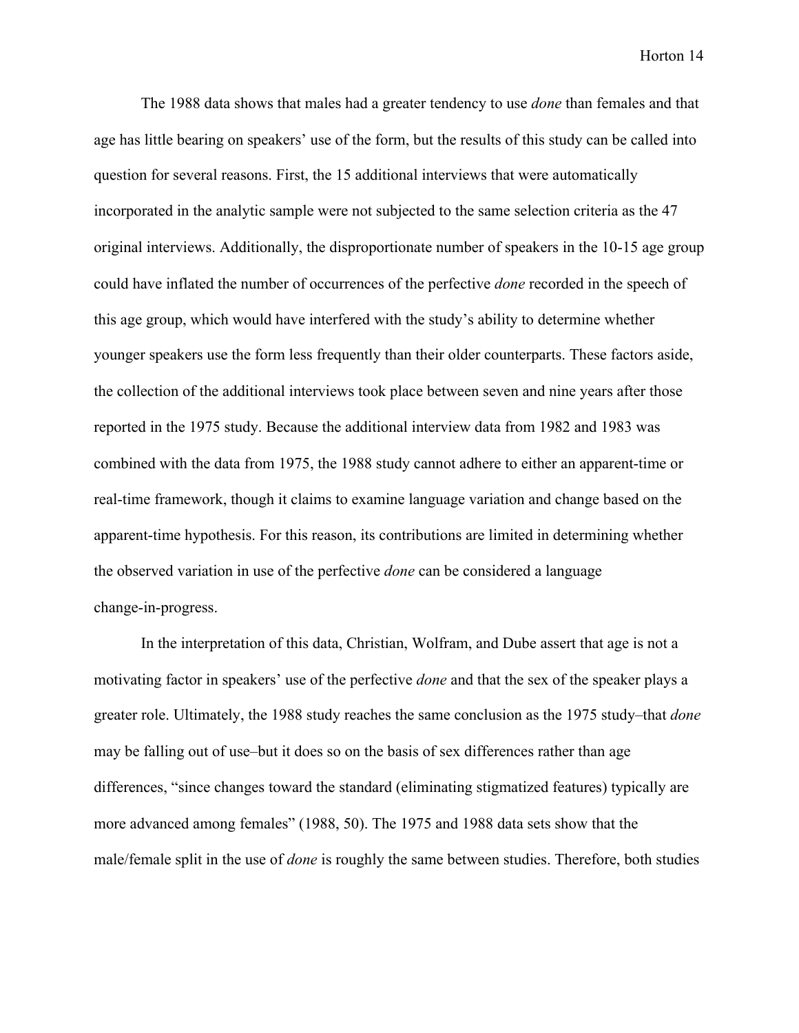The 1988 data shows that males had a greater tendency to use *done* than females and that age has little bearing on speakers' use of the form, but the results of this study can be called into question for several reasons. First, the 15 additional interviews that were automatically incorporated in the analytic sample were not subjected to the same selection criteria as the 47 original interviews. Additionally, the disproportionate number of speakers in the 10-15 age group could have inflated the number of occurrences of the perfective *done* recorded in the speech of this age group, which would have interfered with the study's ability to determine whether younger speakers use the form less frequently than their older counterparts. These factors aside, the collection of the additional interviews took place between seven and nine years after those reported in the 1975 study. Because the additional interview data from 1982 and 1983 was combined with the data from 1975, the 1988 study cannot adhere to either an apparent-time or real-time framework, though it claims to examine language variation and change based on the apparent-time hypothesis. For this reason, its contributions are limited in determining whether the observed variation in use of the perfective *done* can be considered a language change-in-progress.

In the interpretation of this data, Christian, Wolfram, and Dube assert that age is not a motivating factor in speakers' use of the perfective *done* and that the sex of the speaker plays a greater role. Ultimately, the 1988 study reaches the same conclusion as the 1975 study–that *done* may be falling out of use–but it does so on the basis of sex differences rather than age differences, "since changes toward the standard (eliminating stigmatized features) typically are more advanced among females" (1988, 50). The 1975 and 1988 data sets show that the male/female split in the use of *done* is roughly the same between studies. Therefore, both studies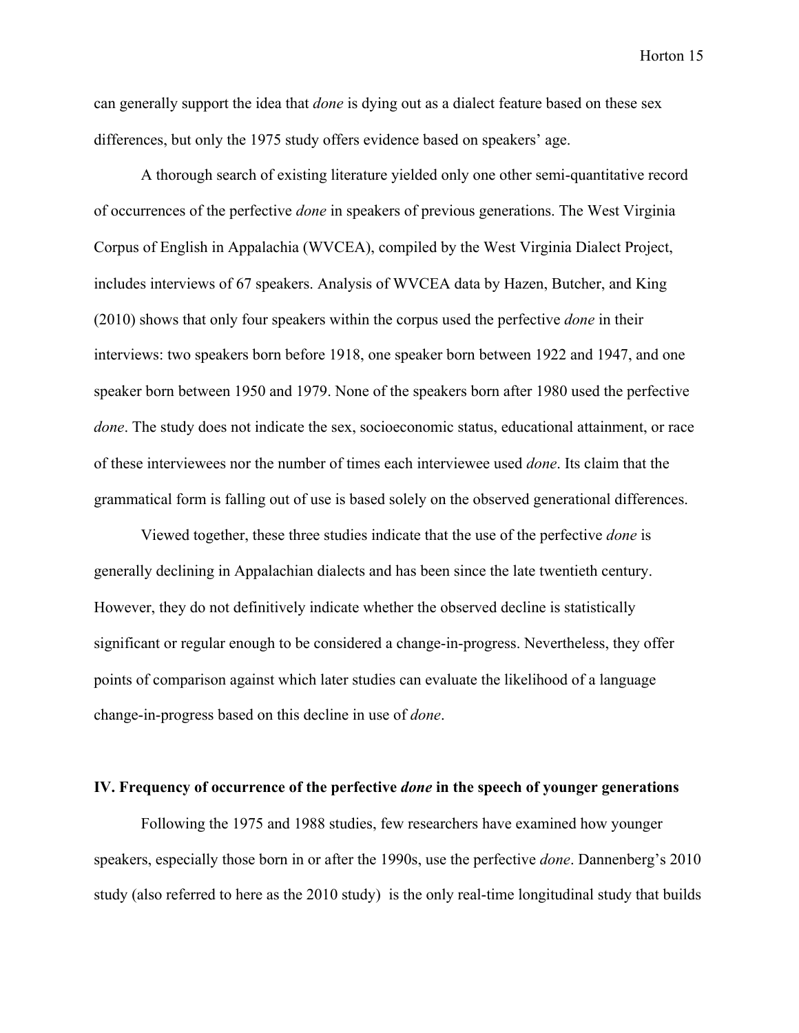can generally support the idea that *done* is dying out as a dialect feature based on these sex differences, but only the 1975 study offers evidence based on speakers' age.

A thorough search of existing literature yielded only one other semi-quantitative record of occurrences of the perfective *done* in speakers of previous generations. The West Virginia Corpus of English in Appalachia (WVCEA), compiled by the West Virginia Dialect Project, includes interviews of 67 speakers. Analysis of WVCEA data by Hazen, Butcher, and King (2010) shows that only four speakers within the corpus used the perfective *done* in their interviews: two speakers born before 1918, one speaker born between 1922 and 1947, and one speaker born between 1950 and 1979. None of the speakers born after 1980 used the perfective *done*. The study does not indicate the sex, socioeconomic status, educational attainment, or race of these interviewees nor the number of times each interviewee used *done*. Its claim that the grammatical form is falling out of use is based solely on the observed generational differences.

Viewed together, these three studies indicate that the use of the perfective *done* is generally declining in Appalachian dialects and has been since the late twentieth century. However, they do not definitively indicate whether the observed decline is statistically significant or regular enough to be considered a change-in-progress. Nevertheless, they offer points of comparison against which later studies can evaluate the likelihood of a language change-in-progress based on this decline in use of *done*.

#### **IV. Frequency of occurrence of the perfective** *done* **in the speech of younger generations**

Following the 1975 and 1988 studies, few researchers have examined how younger speakers, especially those born in or after the 1990s, use the perfective *done*. Dannenberg's 2010 study (also referred to here as the 2010 study) is the only real-time longitudinal study that builds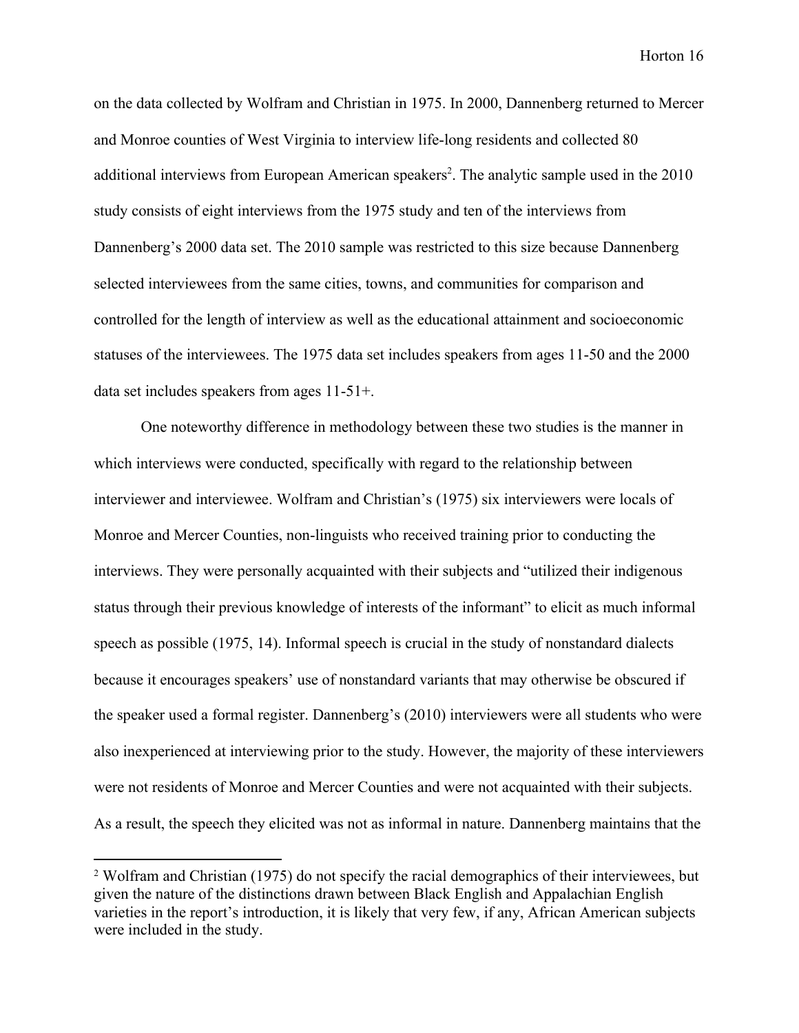on the data collected by Wolfram and Christian in 1975. In 2000, Dannenberg returned to Mercer and Monroe counties of West Virginia to interview life-long residents and collected 80 additional interviews from European American speakers<sup>2</sup>. The analytic sample used in the 2010 study consists of eight interviews from the 1975 study and ten of the interviews from Dannenberg's 2000 data set. The 2010 sample was restricted to this size because Dannenberg selected interviewees from the same cities, towns, and communities for comparison and controlled for the length of interview as well as the educational attainment and socioeconomic statuses of the interviewees. The 1975 data set includes speakers from ages 11-50 and the 2000 data set includes speakers from ages 11-51+.

One noteworthy difference in methodology between these two studies is the manner in which interviews were conducted, specifically with regard to the relationship between interviewer and interviewee. Wolfram and Christian's (1975) six interviewers were locals of Monroe and Mercer Counties, non-linguists who received training prior to conducting the interviews. They were personally acquainted with their subjects and "utilized their indigenous status through their previous knowledge of interests of the informant" to elicit as much informal speech as possible (1975, 14). Informal speech is crucial in the study of nonstandard dialects because it encourages speakers' use of nonstandard variants that may otherwise be obscured if the speaker used a formal register. Dannenberg's (2010) interviewers were all students who were also inexperienced at interviewing prior to the study. However, the majority of these interviewers were not residents of Monroe and Mercer Counties and were not acquainted with their subjects. As a result, the speech they elicited was not as informal in nature. Dannenberg maintains that the

<sup>&</sup>lt;sup>2</sup> Wolfram and Christian (1975) do not specify the racial demographics of their interviewees, but given the nature of the distinctions drawn between Black English and Appalachian English varieties in the report's introduction, it is likely that very few, if any, African American subjects were included in the study.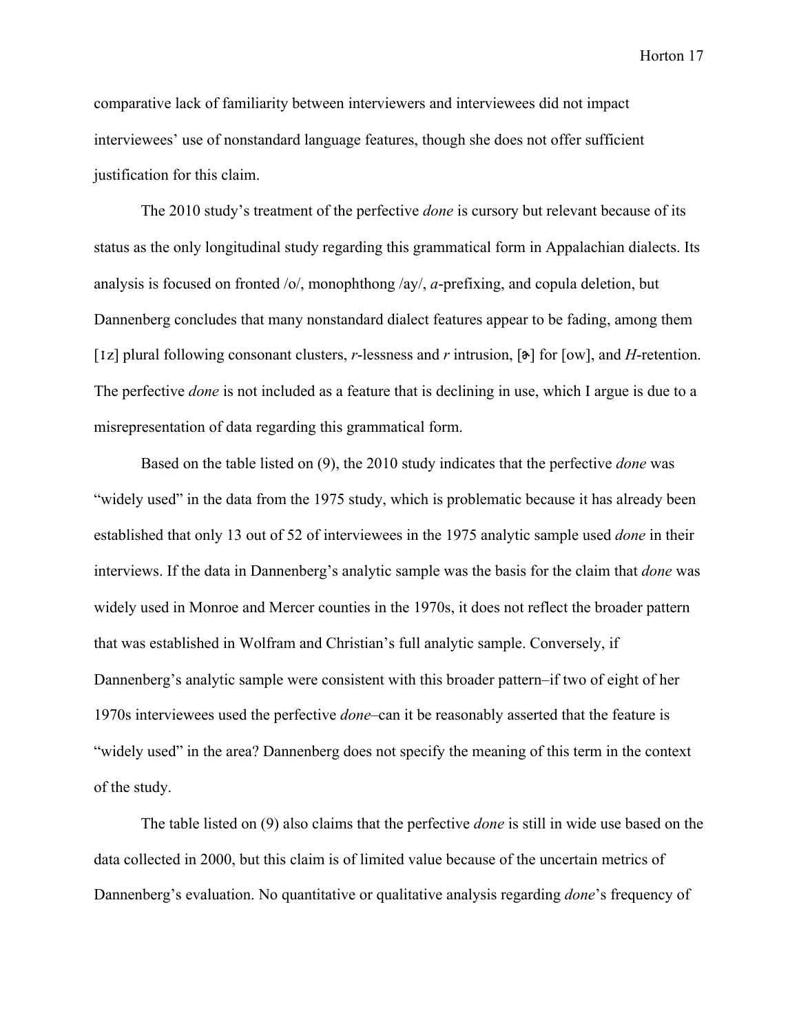comparative lack of familiarity between interviewers and interviewees did not impact interviewees' use of nonstandard language features, though she does not offer sufficient justification for this claim.

The 2010 study's treatment of the perfective *done* is cursory but relevant because of its status as the only longitudinal study regarding this grammatical form in Appalachian dialects. Its analysis is focused on fronted /o/, monophthong /ay/, *a*-prefixing, and copula deletion, but Dannenberg concludes that many nonstandard dialect features appear to be fading, among them [ɪz] plural following consonant clusters, *r*-lessness and *r* intrusion, [ɚ] for [ow], and *H*-retention. The perfective *done* is not included as a feature that is declining in use, which I argue is due to a misrepresentation of data regarding this grammatical form.

Based on the table listed on (9), the 2010 study indicates that the perfective *done* was "widely used" in the data from the 1975 study, which is problematic because it has already been established that only 13 out of 52 of interviewees in the 1975 analytic sample used *done* in their interviews. If the data in Dannenberg's analytic sample was the basis for the claim that *done* was widely used in Monroe and Mercer counties in the 1970s, it does not reflect the broader pattern that was established in Wolfram and Christian's full analytic sample. Conversely, if Dannenberg's analytic sample were consistent with this broader pattern–if two of eight of her 1970s interviewees used the perfective *done*–can it be reasonably asserted that the feature is "widely used" in the area? Dannenberg does not specify the meaning of this term in the context of the study.

The table listed on (9) also claims that the perfective *done* is still in wide use based on the data collected in 2000, but this claim is of limited value because of the uncertain metrics of Dannenberg's evaluation. No quantitative or qualitative analysis regarding *done*'s frequency of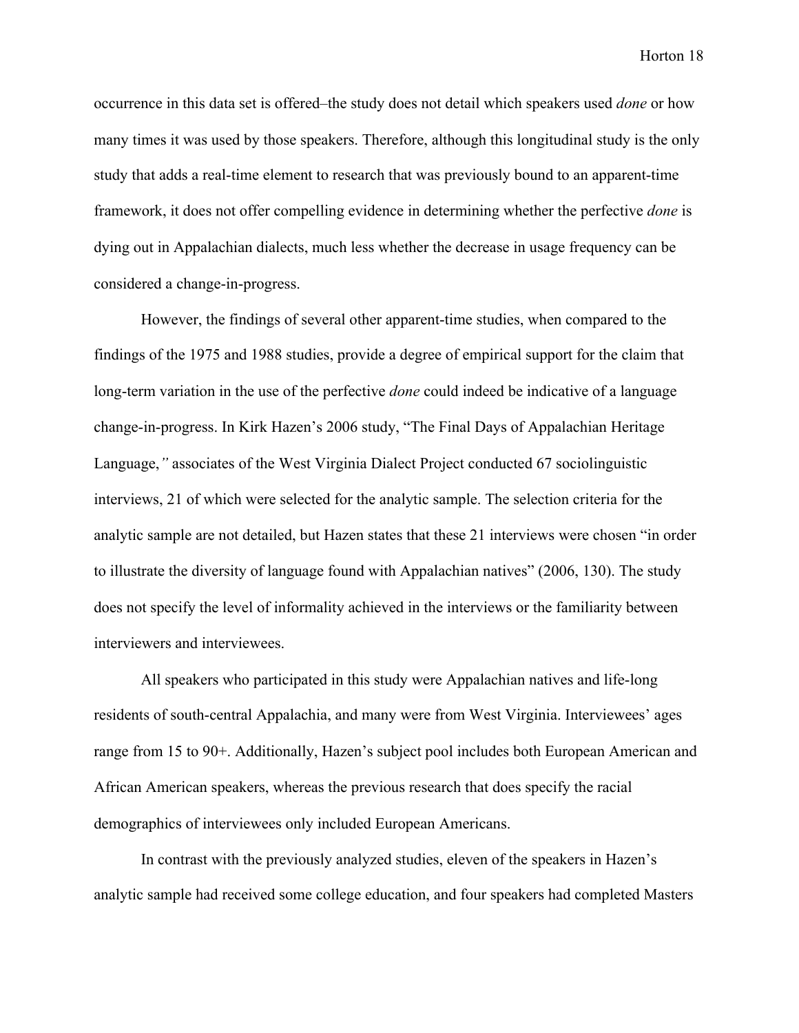occurrence in this data set is offered–the study does not detail which speakers used *done* or how many times it was used by those speakers. Therefore, although this longitudinal study is the only study that adds a real-time element to research that was previously bound to an apparent-time framework, it does not offer compelling evidence in determining whether the perfective *done* is dying out in Appalachian dialects, much less whether the decrease in usage frequency can be considered a change-in-progress.

However, the findings of several other apparent-time studies, when compared to the findings of the 1975 and 1988 studies, provide a degree of empirical support for the claim that long-term variation in the use of the perfective *done* could indeed be indicative of a language change-in-progress. In Kirk Hazen's 2006 study, "The Final Days of Appalachian Heritage Language,*"* associates of the West Virginia Dialect Project conducted 67 sociolinguistic interviews, 21 of which were selected for the analytic sample. The selection criteria for the analytic sample are not detailed, but Hazen states that these 21 interviews were chosen "in order to illustrate the diversity of language found with Appalachian natives" (2006, 130). The study does not specify the level of informality achieved in the interviews or the familiarity between interviewers and interviewees.

All speakers who participated in this study were Appalachian natives and life-long residents of south-central Appalachia, and many were from West Virginia. Interviewees' ages range from 15 to 90+. Additionally, Hazen's subject pool includes both European American and African American speakers, whereas the previous research that does specify the racial demographics of interviewees only included European Americans.

In contrast with the previously analyzed studies, eleven of the speakers in Hazen's analytic sample had received some college education, and four speakers had completed Masters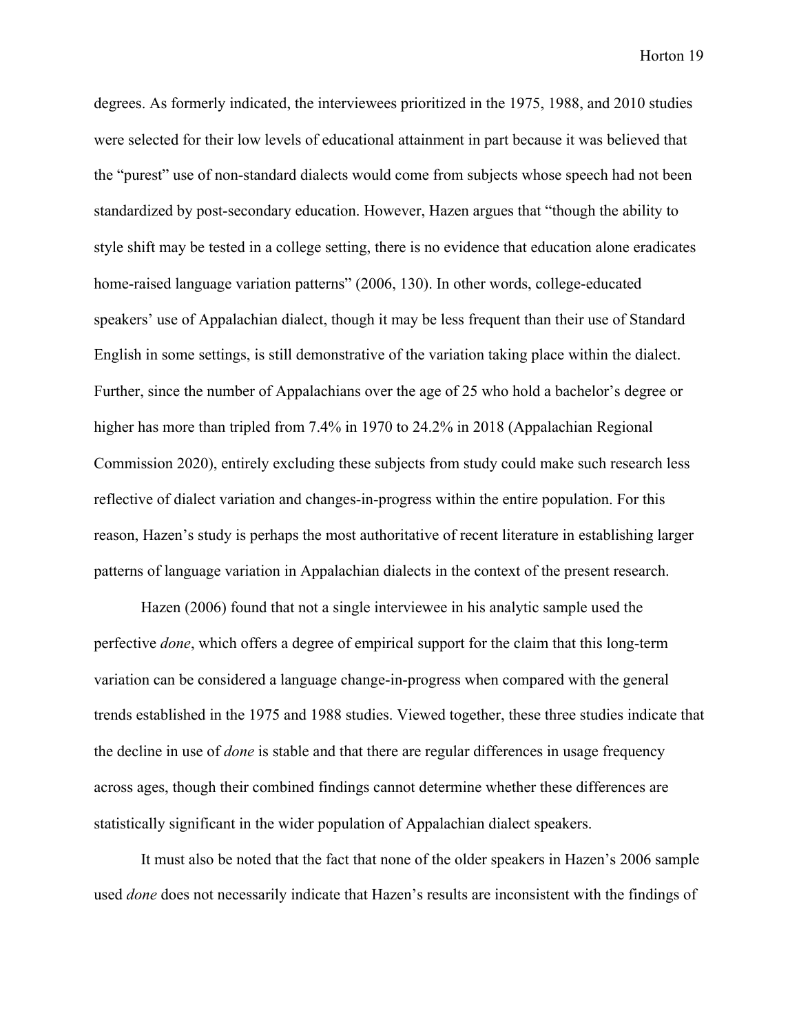degrees. As formerly indicated, the interviewees prioritized in the 1975, 1988, and 2010 studies were selected for their low levels of educational attainment in part because it was believed that the "purest" use of non-standard dialects would come from subjects whose speech had not been standardized by post-secondary education. However, Hazen argues that "though the ability to style shift may be tested in a college setting, there is no evidence that education alone eradicates home-raised language variation patterns" (2006, 130). In other words, college-educated speakers' use of Appalachian dialect, though it may be less frequent than their use of Standard English in some settings, is still demonstrative of the variation taking place within the dialect. Further, since the number of Appalachians over the age of 25 who hold a bachelor's degree or higher has more than tripled from 7.4% in 1970 to 24.2% in 2018 (Appalachian Regional Commission 2020), entirely excluding these subjects from study could make such research less reflective of dialect variation and changes-in-progress within the entire population. For this reason, Hazen's study is perhaps the most authoritative of recent literature in establishing larger patterns of language variation in Appalachian dialects in the context of the present research.

Hazen (2006) found that not a single interviewee in his analytic sample used the perfective *done*, which offers a degree of empirical support for the claim that this long-term variation can be considered a language change-in-progress when compared with the general trends established in the 1975 and 1988 studies. Viewed together, these three studies indicate that the decline in use of *done* is stable and that there are regular differences in usage frequency across ages, though their combined findings cannot determine whether these differences are statistically significant in the wider population of Appalachian dialect speakers.

It must also be noted that the fact that none of the older speakers in Hazen's 2006 sample used *done* does not necessarily indicate that Hazen's results are inconsistent with the findings of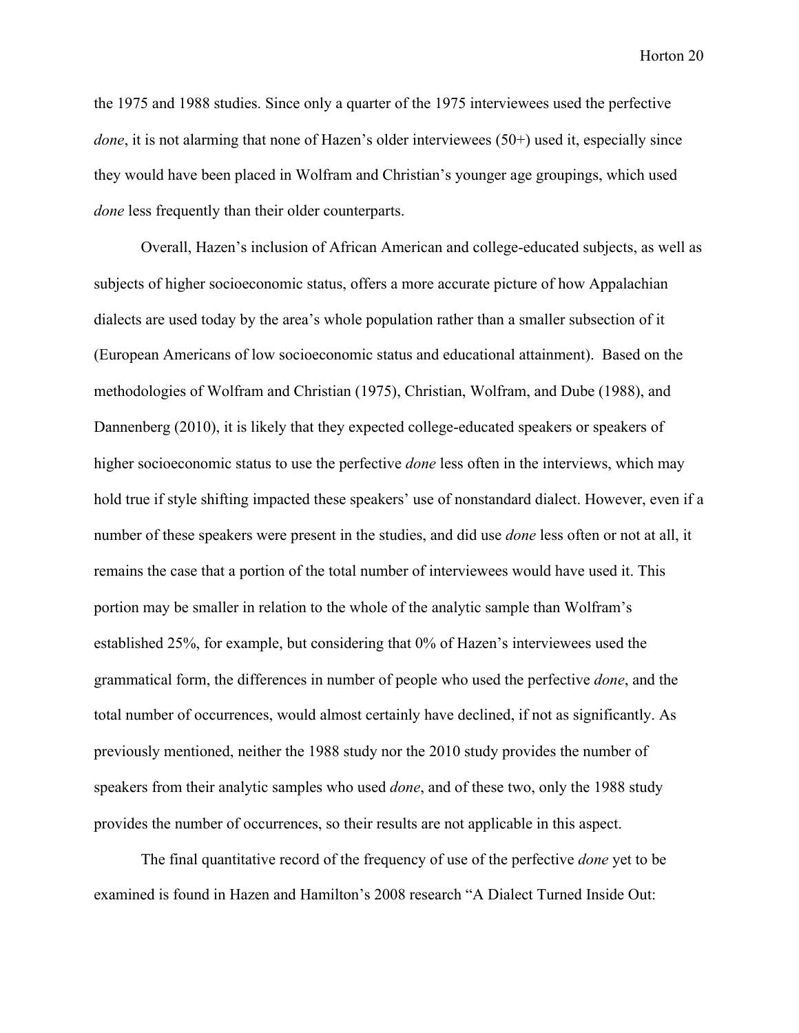the 1975 and 1988 studies. Since only a quarter of the 1975 interviewees used the perfective *done*, it is not alarming that none of Hazen's older interviewees (50+) used it, especially since they would have been placed in Wolfram and Christian's younger age groupings, which used *done* less frequently than their older counterparts.

Overall, Hazen's inclusion of African American and college-educated subjects, as well as subjects of higher socioeconomic status, offers a more accurate picture of how Appalachian dialects are used today by the area's whole population rather than a smaller subsection of it (European Americans of low socioeconomic status and educational attainment). Based on the methodologies of Wolfram and Christian (1975), Christian, Wolfram, and Dube (1988), and Dannenberg (2010), it is likely that they expected college-educated speakers or speakers of higher socioeconomic status to use the perfective *done* less often in the interviews, which may hold true if style shifting impacted these speakers' use of nonstandard dialect. However, even if a number of these speakers were present in the studies, and did use *done* less often or not at all, it remains the case that a portion of the total number of interviewees would have used it. This portion may be smaller in relation to the whole of the analytic sample than Wolfram's established 25%, for example, but considering that 0% of Hazen's interviewees used the grammatical form, the differences in number of people who used the perfective *done*, and the total number of occurrences, would almost certainly have declined, if not as significantly. As previously mentioned, neither the 1988 study nor the 2010 study provides the number of speakers from their analytic samples who used *done*, and of these two, only the 1988 study provides the number of occurrences, so their results are not applicable in this aspect.

The final quantitative record of the frequency of use of the perfective *done* yet to be examined is found in Hazen and Hamilton's 2008 research "A Dialect Turned Inside Out: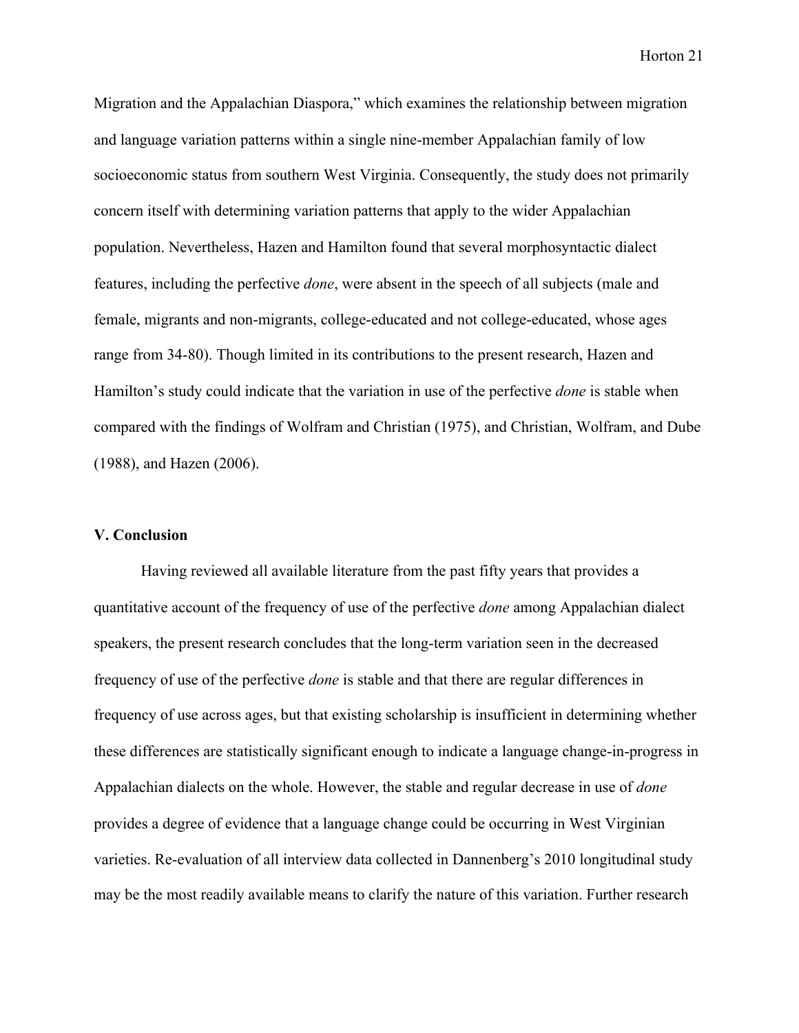Migration and the Appalachian Diaspora," which examines the relationship between migration and language variation patterns within a single nine-member Appalachian family of low socioeconomic status from southern West Virginia. Consequently, the study does not primarily concern itself with determining variation patterns that apply to the wider Appalachian population. Nevertheless, Hazen and Hamilton found that several morphosyntactic dialect features, including the perfective *done*, were absent in the speech of all subjects (male and female, migrants and non-migrants, college-educated and not college-educated, whose ages range from 34-80). Though limited in its contributions to the present research, Hazen and Hamilton's study could indicate that the variation in use of the perfective *done* is stable when compared with the findings of Wolfram and Christian (1975), and Christian, Wolfram, and Dube (1988), and Hazen (2006).

#### **V. Conclusion**

Having reviewed all available literature from the past fifty years that provides a quantitative account of the frequency of use of the perfective *done* among Appalachian dialect speakers, the present research concludes that the long-term variation seen in the decreased frequency of use of the perfective *done* is stable and that there are regular differences in frequency of use across ages, but that existing scholarship is insufficient in determining whether these differences are statistically significant enough to indicate a language change-in-progress in Appalachian dialects on the whole. However, the stable and regular decrease in use of *done* provides a degree of evidence that a language change could be occurring in West Virginian varieties. Re-evaluation of all interview data collected in Dannenberg's 2010 longitudinal study may be the most readily available means to clarify the nature of this variation. Further research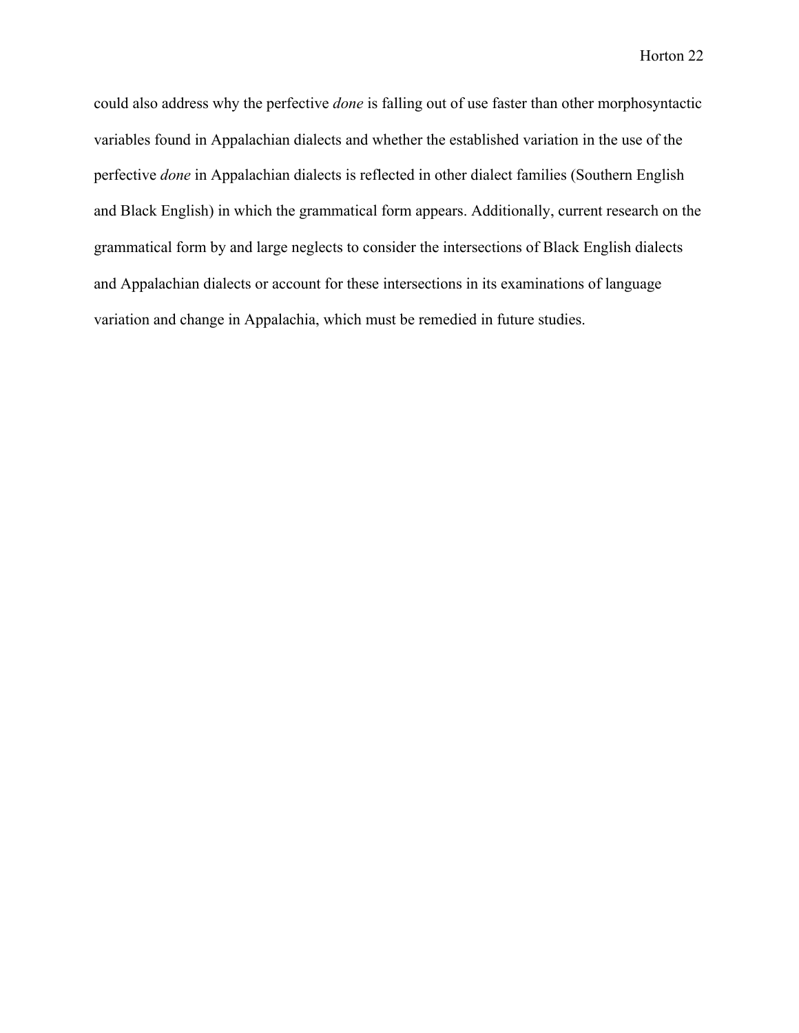could also address why the perfective *done* is falling out of use faster than other morphosyntactic variables found in Appalachian dialects and whether the established variation in the use of the perfective *done* in Appalachian dialects is reflected in other dialect families (Southern English and Black English) in which the grammatical form appears. Additionally, current research on the grammatical form by and large neglects to consider the intersections of Black English dialects and Appalachian dialects or account for these intersections in its examinations of language variation and change in Appalachia, which must be remedied in future studies.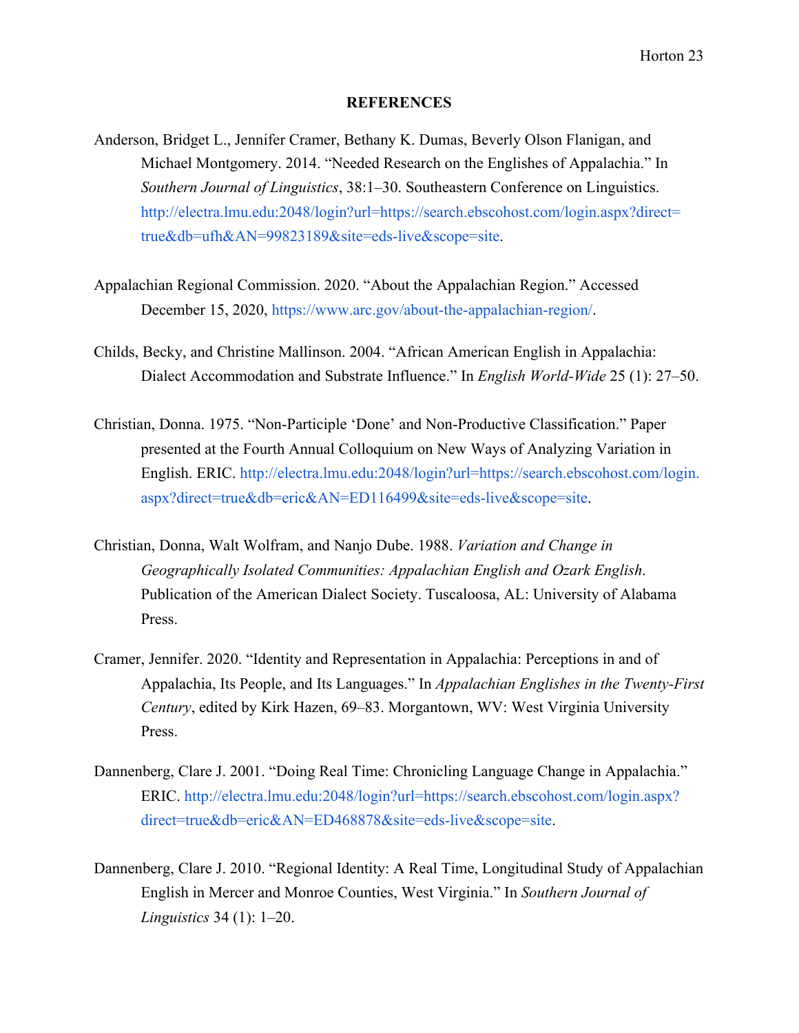#### **REFERENCES**

- Anderson, Bridget L., Jennifer Cramer, Bethany K. Dumas, Beverly Olson Flanigan, and Michael Montgomery. 2014. "Needed Research on the Englishes of Appalachia." In *Southern Journal of Linguistics*, 38:1–30. Southeastern Conference on Linguistics. [http://electra.lmu.edu:2048/login?url=https://search.ebscohost.com/login.aspx?direct=](http://electra.lmu.edu:2048/login?url=https://search.ebscohost.com/login.aspx?direct=true) [true](http://electra.lmu.edu:2048/login?url=https://search.ebscohost.com/login.aspx?direct=true)[&db=ufh&AN=99823189&site=eds-live&scope=site](http://electra.lmu.edu:2048/login?url=https://search.ebscohost.com/login.aspx?direct=true&db=ufh&AN=99823189&site=eds-live&scope=site).
- Appalachian Regional Commission. 2020. "About the Appalachian Region." Accessed December 15, 2020,<https://www.arc.gov/about-the-appalachian-region/>.
- Childs, Becky, and Christine Mallinson. 2004. "African American English in Appalachia: Dialect Accommodation and Substrate Influence." In *English World-Wide* 25 (1): 27–50.
- Christian, Donna. 1975. "Non-Participle 'Done' and Non-Productive Classification." Paper presented at the Fourth Annual Colloquium on New Ways of Analyzing Variation in English. ERIC. [http://electra.lmu.edu:2048/login?url=https://search.ebscohost.com/login.](http://electra.lmu.edu:2048/login?url=https://search.ebscohost.com/login.aspx) [aspx](http://electra.lmu.edu:2048/login?url=https://search.ebscohost.com/login.aspx)[?direct=true&db=eric&AN=ED116499&site=eds-live&scope=site.](http://electra.lmu.edu:2048/login?url=https://search.ebscohost.com/login.aspx?direct=true&db=eric&AN=ED116499&site=eds-live&scope=site)
- Christian, Donna, Walt Wolfram, and Nanjo Dube. 1988. *Variation and Change in Geographically Isolated Communities: Appalachian English and Ozark English*. Publication of the American Dialect Society. Tuscaloosa, AL: University of Alabama Press[.](https://files.eric.ed.gov/fulltext/ED246682.pdf)
- Cramer, Jennifer. 2020. "Identity and Representation in Appalachia: Perceptions in and of Appalachia, Its People, and Its Languages." In *Appalachian Englishes in the Twenty-First Century*, edited by Kirk Hazen, 69–83. Morgantown, WV: West Virginia University Press.
- Dannenberg, Clare J. 2001. "Doing Real Time: Chronicling Language Change in Appalachia." ERIC. [http://electra.lmu.edu:2048/login?url=https://search.ebscohost.com/login.aspx?](http://electra.lmu.edu:2048/login?url=https://search.ebscohost.com/login.aspx?direct=true&db=eric&AN=ED468878&site=eds-live&scope=site) [direct=true&db=eric&AN=ED468878&site=eds-live&scope=site](http://electra.lmu.edu:2048/login?url=https://search.ebscohost.com/login.aspx?direct=true&db=eric&AN=ED468878&site=eds-live&scope=site).
- Dannenberg, Clare J. 2010. "Regional Identity: A Real Time, Longitudinal Study of Appalachian English in Mercer and Monroe Counties, West Virginia." In *Southern Journal of Linguistics* 34 (1): 1–20.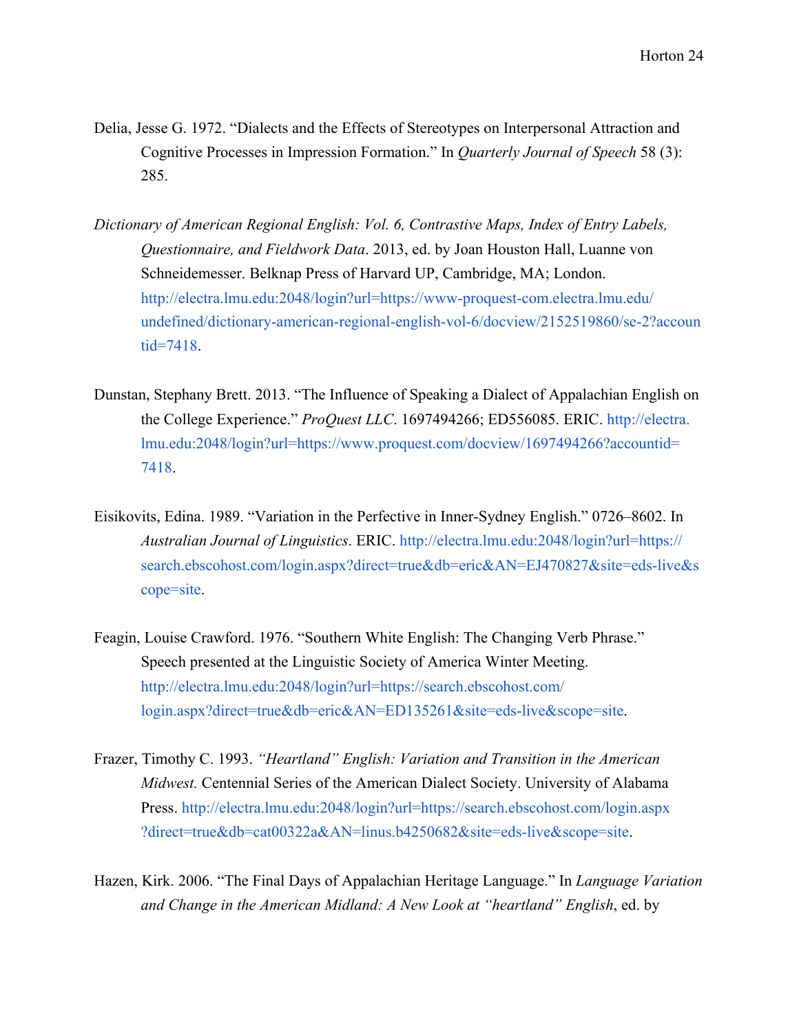- Delia, Jesse G. 1972. "Dialects and the Effects of Stereotypes on Interpersonal Attraction and Cognitive Processes in Impression Formation." In *Quarterly Journal of Speech* 58 (3): 285.
- *Dictionary of American Regional English: Vol. 6, Contrastive Maps, Index of Entry Labels, Questionnaire, and Fieldwork Data*. 2013, ed. by Joan Houston Hall, Luanne von Schneidemesser. Belknap Press of Harvard UP, Cambridge, MA; London. [http://electra.lmu.edu:2048/login?url=https://www-proquest-com.electra.lmu.edu/](http://electra.lmu.edu:2048/login?url=https://www-proquest-com.electra.lmu.edu/undefined/dictionary-american-regional-english-vol-6/docview/2152519860/se-2?accountid=7418) [undefined/dictionary-american-regional-english-vol-6/docview/2152519860/se-2?accoun](http://electra.lmu.edu:2048/login?url=https://www-proquest-com.electra.lmu.edu/undefined/dictionary-american-regional-english-vol-6/docview/2152519860/se-2?accountid=7418) [tid=7418.](http://electra.lmu.edu:2048/login?url=https://www-proquest-com.electra.lmu.edu/undefined/dictionary-american-regional-english-vol-6/docview/2152519860/se-2?accountid=7418)
- Dunstan, Stephany Brett. 2013. "The Influence of Speaking a Dialect of Appalachian English on the College Experience." *ProQuest LLC*. 1697494266; ED556085. ERIC. [http://electra.](http://electra.lmu.edu:2048/login?url=https://www.proquest.com/docview/1697494266?accountid=7418) [lmu.edu:2048/login?url=](http://electra.lmu.edu:2048/login?url=https://www.proquest.com/docview/1697494266?accountid=7418)<https://www.proquest.com/docview/1697494266?account>[id=](http://electra.lmu.edu:2048/login?url=https://www.proquest.com/docview/1697494266?accountid=7418) [7418](http://electra.lmu.edu:2048/login?url=https://www.proquest.com/docview/1697494266?accountid=7418).
- Eisikovits, Edina. 1989. "Variation in the Perfective in Inner-Sydney English." 0726–8602. In *Australian Journal of Linguistics*. ERIC[.](http://electra.lmu.edu:2048/login?url=https://search.ebscohost.com/login.aspx?direct=true&db=eric&AN=EJ470827&site=eds-live&scope=site) <http://electra.lmu.edu:2048/login?url=https://> [search.ebscohost.com/login.aspx?direct=true&db=eric&AN=EJ470827&site=eds-live&s](http://electra.lmu.edu:2048/login?url=https://search.ebscohost.com/login.aspx?direct=true&db=eric&AN=EJ470827&site=eds-live&scope=site) [cope=site](http://electra.lmu.edu:2048/login?url=https://search.ebscohost.com/login.aspx?direct=true&db=eric&AN=EJ470827&site=eds-live&scope=site).
- Feagin, Louise Crawford. 1976. "Southern White English: The Changing Verb Phrase." Speech presented at the Linguistic Society of America Winter Meeting. <http://electra.lmu.edu:2048/login?url=https://search.ebscohost.com/> [login.aspx?direct=true&db=eric&AN=ED135261&site=eds-live&scope=site](http://electra.lmu.edu:2048/login?url=https://search.ebscohost.com/login.aspx?direct=true&db=eric&AN=ED135261&site=eds-live&scope=site).
- Frazer, Timothy C. 1993. *"Heartland" English: Variation and Transition in the American Midwest.* Centennial Series of the American Dialect Society. University of Alabama Press. <http://electra.lmu.edu:2048/login?url=https://search.ebscohost.com/login.aspx> [?direct=true&db=cat00322a&AN=linus.b4250682&site=eds-live&scope=site](http://electra.lmu.edu:2048/login?url=https://search.ebscohost.com/login.aspx?direct=true&db=cat00322a&AN=linus.b4250682&site=eds-live&scope=site).
- Hazen, Kirk. 2006. "The Final Days of Appalachian Heritage Language." In *Language Variation and Change in the American Midland: A New Look at "heartland" English*, ed. by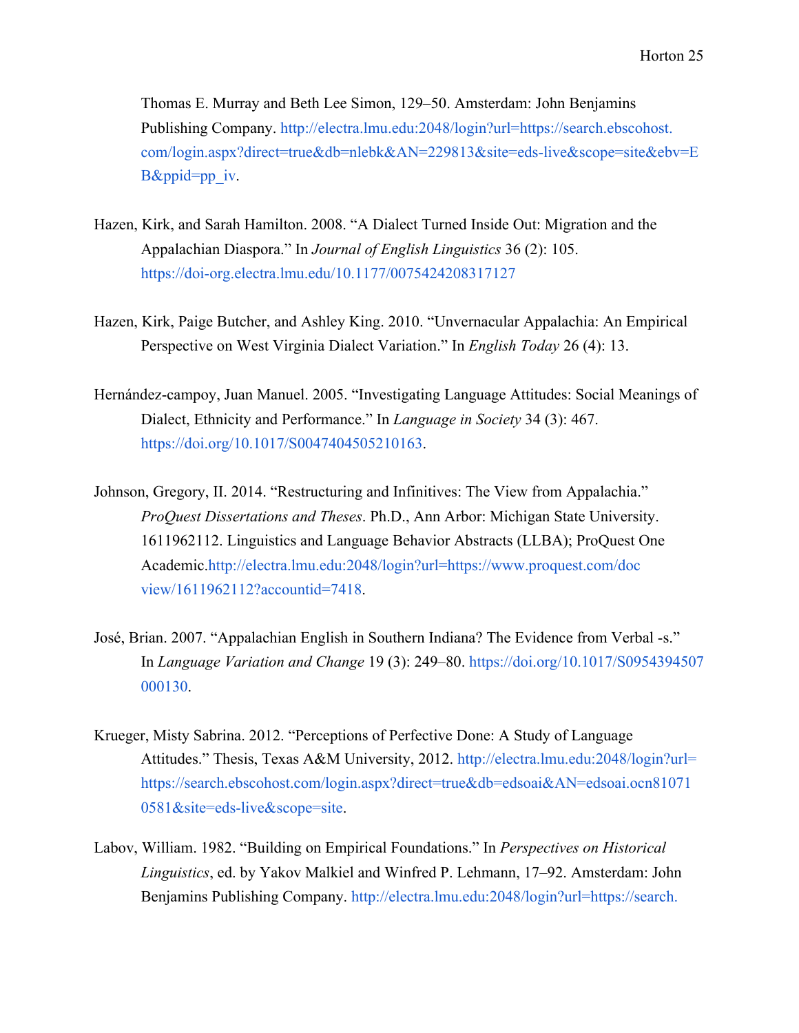Thomas E. Murray and Beth Lee Simon, 129–50. Amsterdam: John Benjamins Publishing Company. <http://electra.lmu.edu:2048/login?url=>[https://search.ebscohost.](http://electra.lmu.edu:2048/login?url=https://search.ebscohost.com/login.aspx?direct=true&db=nlebk&AN=229813&site=eds-live&scope=site&ebv=EB&ppid=pp_iv) [com/login.aspx?direct=true&db=nlebk&AN=229813&site=eds-live&scope=site&ebv=E](http://electra.lmu.edu:2048/login?url=https://search.ebscohost.com/login.aspx?direct=true&db=nlebk&AN=229813&site=eds-live&scope=site&ebv=EB&ppid=pp_iv) [B&ppid=pp\\_iv.](http://electra.lmu.edu:2048/login?url=https://search.ebscohost.com/login.aspx?direct=true&db=nlebk&AN=229813&site=eds-live&scope=site&ebv=EB&ppid=pp_iv)

- Hazen, Kirk, and Sarah Hamilton. 2008. "A Dialect Turned Inside Out: Migration and the Appalachian Diaspora." In *Journal of English Linguistics* 36 (2): 105. <https://doi-org.electra.lmu.edu/10.1177/0075424208317127>
- Hazen, Kirk, Paige Butcher, and Ashley King. 2010. "Unvernacular Appalachia: An Empirical Perspective on West Virginia Dialect Variation." In *English Today* 26 (4): 13.
- Hernández-campoy, Juan Manuel. 2005. "Investigating Language Attitudes: Social Meanings of Dialect, Ethnicity and Performance." In *Language in Society* 34 (3): 467. <https://doi.org/10.1017/S0047404505210163>.
- Johnson, Gregory, II. 2014. "Restructuring and Infinitives: The View from Appalachia." *ProQuest Dissertations and Theses*. Ph.D., Ann Arbor: Michigan State University. 1611962112. Linguistics and Language Behavior Abstracts (LLBA); ProQuest One Academic.[http://electra.lmu.edu:2048/login?url=https://www.proquest.com/doc](http://electra.lmu.edu:2048/login?url=https://www.proquest.com/docview/1611962112?accountid=7418) [view/1611962112?accountid=7418.](http://electra.lmu.edu:2048/login?url=https://www.proquest.com/docview/1611962112?accountid=7418)
- José, Brian. 2007. "Appalachian English in Southern Indiana? The Evidence from Verbal -s." In *Language Variation and Change* 19 (3): 249–80. <https://doi.org/10.1017/S0954394507> [000130](https://doi.org/10.1017/S0954394507000130).
- Krueger, Misty Sabrina. 2012. "Perceptions of Perfective Done: A Study of Language Attitudes." [T](http://electra.lmu.edu:2048/login?url=https://search.ebscohost.com/login.aspx?direct=true&db=edsoai&AN=edsoai.ocn810710581&site=eds-live&scope=site)hesis, Texas A&M University, 2012. [http://electra.lmu.edu:2048/login?url=](http://electra.lmu.edu:2048/login?url=https://search.ebscohost.com/login.aspx?direct=true&db=edsoai&AN=edsoai.ocn810710581&site=eds-live&scope=site) <https://search.ebscohost.com/login.aspx?direct=true&db=edsoai&AN=edsoai.ocn8>[1071](http://electra.lmu.edu:2048/login?url=https://search.ebscohost.com/login.aspx?direct=true&db=edsoai&AN=edsoai.ocn810710581&site=eds-live&scope=site) [0581&site=eds-live&scope=site](http://electra.lmu.edu:2048/login?url=https://search.ebscohost.com/login.aspx?direct=true&db=edsoai&AN=edsoai.ocn810710581&site=eds-live&scope=site).
- Labov, William. 1982. "Building on Empirical Foundations." In *Perspectives on Historical Linguistics*, ed. by Yakov Malkiel and Winfred P. Lehmann, 17–92. Amsterdam: John Benjamins Publishing Company. [http://electra.lmu.edu:2048/login?url=https://search.](http://electra.lmu.edu:2048/login?url=https://search.ebscohost.com/login.aspx?direct=true&db=nlebk&AN=400879&site=eds-live&scope=site)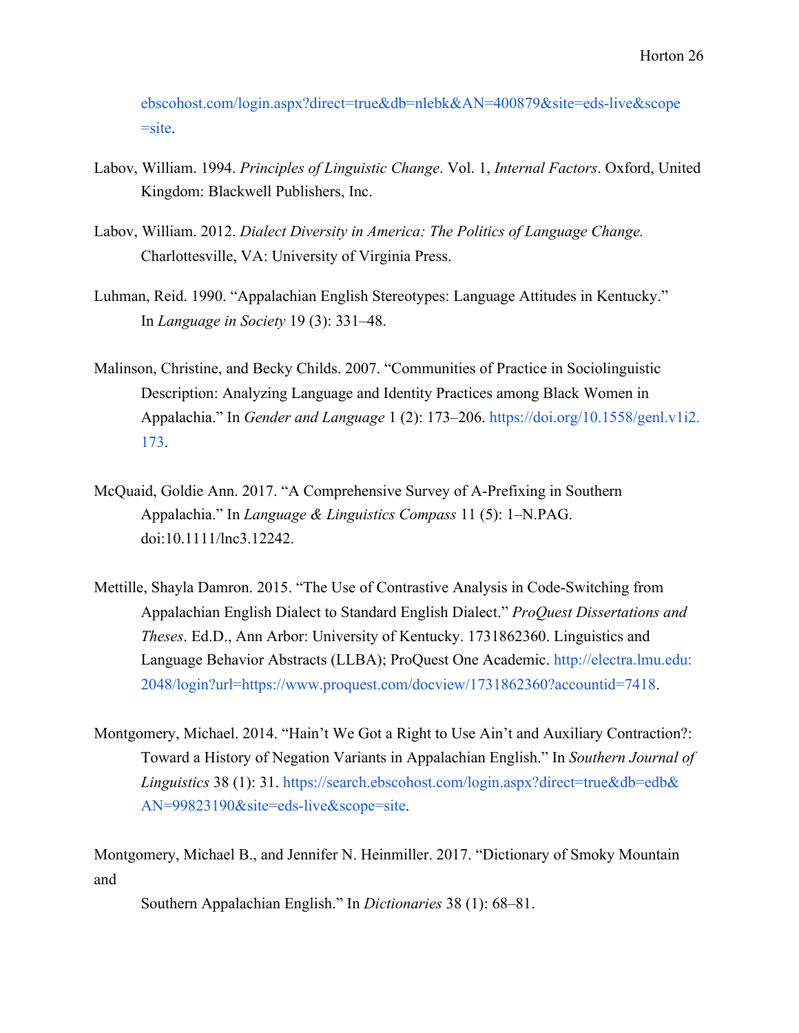[ebscohost.com/login.aspx?direct=true&db=nlebk&AN=400879&site=eds-live&scope](http://electra.lmu.edu:2048/login?url=https://search.ebscohost.com/login.aspx?direct=true&db=nlebk&AN=400879&site=eds-live&scope=site)  $=$ site.

- Labov, William. 1994. *Principles of Linguistic Change*. Vol. 1, *Internal Factors*. Oxford, United Kingdom: Blackwell Publishers, Inc.
- Labov, William. 2012. *Dialect Diversity in America: The Politics of Language Change.* Charlottesville, VA: University of Virginia Press.
- Luhman, Reid. 1990. "Appalachian English Stereotypes: Language Attitudes in Kentucky." In *Language in Society* 19 (3): 331–48.
- Malinson, Christine, and Becky Childs. 2007. "Communities of Practice in Sociolinguistic Description: Analyzing Language and Identity Practices among Black Women in Appalachia." In *Gender and Language* 1 (2): 173–206. [https://doi.org/10.1558/genl.v1i2.](https://doi.org/10.1558/genl.v1i2.173) [173](https://doi.org/10.1558/genl.v1i2.173).
- McQuaid, Goldie Ann. 2017. "A Comprehensive Survey of A-Prefixing in Southern Appalachia." In *Language & Linguistics Compass* 11 (5): 1–N.PAG. doi:10.1111/lnc3.12242.
- Mettille, Shayla Damron. 2015. "The Use of Contrastive Analysis in Code-Switching from Appalachian English Dialect to Standard English Dialect." *ProQuest Dissertations and Theses*. Ed.D., Ann Arbor: University of Kentucky. 1731862360. Linguistics and Language Behavior Abstracts (LLBA); ProQuest One Academic. [http://electra.lmu.edu](http://electra.lmu.edu/)[:](http://electra.lmu.edu:2048/login?url=https://www.proquest.com/docview/1731862360?accountid=7418) [2048/login?url=https://www.proquest.com/docview/1731862360?accountid=7418](http://electra.lmu.edu:2048/login?url=https://www.proquest.com/docview/1731862360?accountid=7418).
- Montgomery, Michael. 2014. "Hain't We Got a Right to Use Ain't and Auxiliary Contraction?: Toward a History of Negation Variants in Appalachian English." In *Southern Journal of Linguistics* 38 (1): 31. [https://search.ebscohost.com/login.aspx?direct=true&db=edb&](https://search.ebscohost.com/login.aspx?direct=true&db=edb&AN=99823190&site=eds-live&scope=site) [AN=99823190&site=eds-live&scope=site.](https://search.ebscohost.com/login.aspx?direct=true&db=edb&AN=99823190&site=eds-live&scope=site)

Montgomery, Michael B., and Jennifer N. Heinmiller. 2017. "Dictionary of Smoky Mountain and

Southern Appalachian English." In *Dictionaries* 38 (1): 68–81.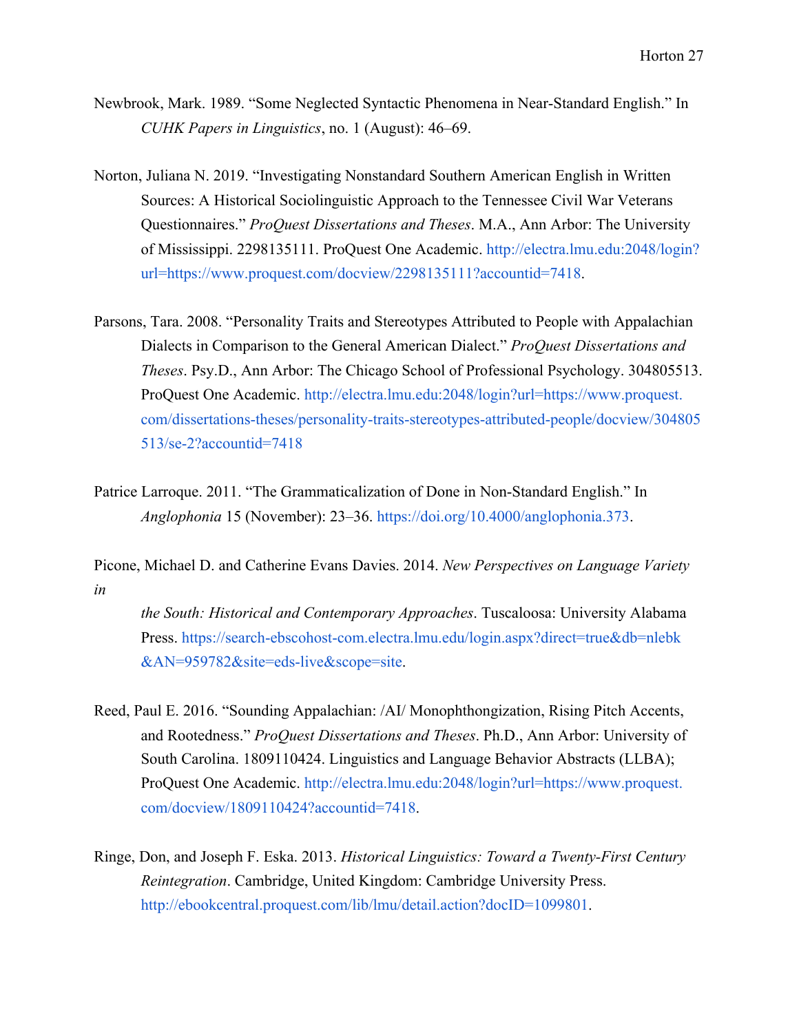- Newbrook, Mark. 1989. "Some Neglected Syntactic Phenomena in Near-Standard English." In *CUHK Papers in Linguistics*, no. 1 (August): 46–69.
- Norton, Juliana N. 2019. "Investigating Nonstandard Southern American English in Written Sources: A Historical Sociolinguistic Approach to the Tennessee Civil War Veterans Questionnaires." *ProQuest Dissertations and Theses*. M.A., Ann Arbor: The University of Mississippi. 2298135111. ProQuest One Academic. <http://electra.lmu.edu:2048/login>[?](http://electra.lmu.edu:2048/login?url=https://www.proquest.com/docview/2298135111?accountid=7418) [url=https://www.proquest.com/docview/2298135111?accountid=7418.](http://electra.lmu.edu:2048/login?url=https://www.proquest.com/docview/2298135111?accountid=7418)
- Parsons, Tara. 2008. "Personality Traits and Stereotypes Attributed to People with Appalachian Dialects in Comparison to the General American Dialect." *ProQuest Dissertations and Theses*. Psy.D., Ann Arbor: The Chicago School of Professional Psychology. 304805513. ProQuest One Academic[.](http://electra.lmu.edu:2048/login?url=https://www.proquest.com/dissertations-theses/personality-traits-stereotypes-attributed-people/docview/304805513/se-2?accountid=7418) <http://electra.lmu.edu:2048/login?url=https://www.proquest>[.](http://electra.lmu.edu:2048/login?url=https://www.proquest.com/dissertations-theses/personality-traits-stereotypes-attributed-people/docview/304805513/se-2?accountid=7418) [com/dissertations-theses/personality-traits-stereotypes-attributed-people/docview/304805](http://electra.lmu.edu:2048/login?url=https://www.proquest.com/dissertations-theses/personality-traits-stereotypes-attributed-people/docview/304805513/se-2?accountid=7418) [513/se-2?accountid=7418](http://electra.lmu.edu:2048/login?url=https://www.proquest.com/dissertations-theses/personality-traits-stereotypes-attributed-people/docview/304805513/se-2?accountid=7418)
- Patrice Larroque. 2011. "The Grammaticalization of Done in Non-Standard English." In *Anglophonia* 15 (November): 23–36. [https://doi.org/10.4000/anglophonia.373.](https://doi.org/10.4000/anglophonia.373)

Picone, Michael D. and Catherine Evans Davies. 2014. *New Perspectives on Language Variety in*

*the South: Historical and Contemporary Approaches*. Tuscaloosa: University Alabama Press. [https://search-ebscohost-com.electra.lmu.edu/login.aspx?direct=true&db=nlebk](https://search-ebscohost-com.electra.lmu.edu/login.aspx?direct=true&db=nlebk&AN=959782&site=eds-live&scope=site) [&AN=959782&site=eds-live&scope=site](https://search-ebscohost-com.electra.lmu.edu/login.aspx?direct=true&db=nlebk&AN=959782&site=eds-live&scope=site).

- Reed, Paul E. 2016. "Sounding Appalachian: /AI/ Monophthongization, Rising Pitch Accents, and Rootedness." *ProQuest Dissertations and Theses*. Ph.D., Ann Arbor: University of South Carolina. 1809110424. Linguistics and Language Behavior Abstracts (LLBA); ProQuest One Academic. [http://electra.lmu.edu:2048/login?url=https://www.proquest.](http://electra.lmu.edu:2048/login?url=https://www.proquest.com/docview/1809110424?accountid=7418) [com/docview/1809110424?accountid=7418.](http://electra.lmu.edu:2048/login?url=https://www.proquest.com/docview/1809110424?accountid=7418)
- Ringe, Don, and Joseph F. Eska. 2013. *Historical Linguistics: Toward a Twenty-First Century Reintegration*. Cambridge, United Kingdom: Cambridge University Press. <http://ebookcentral.proquest.com/lib/lmu/detail.action?docID=1099801>.